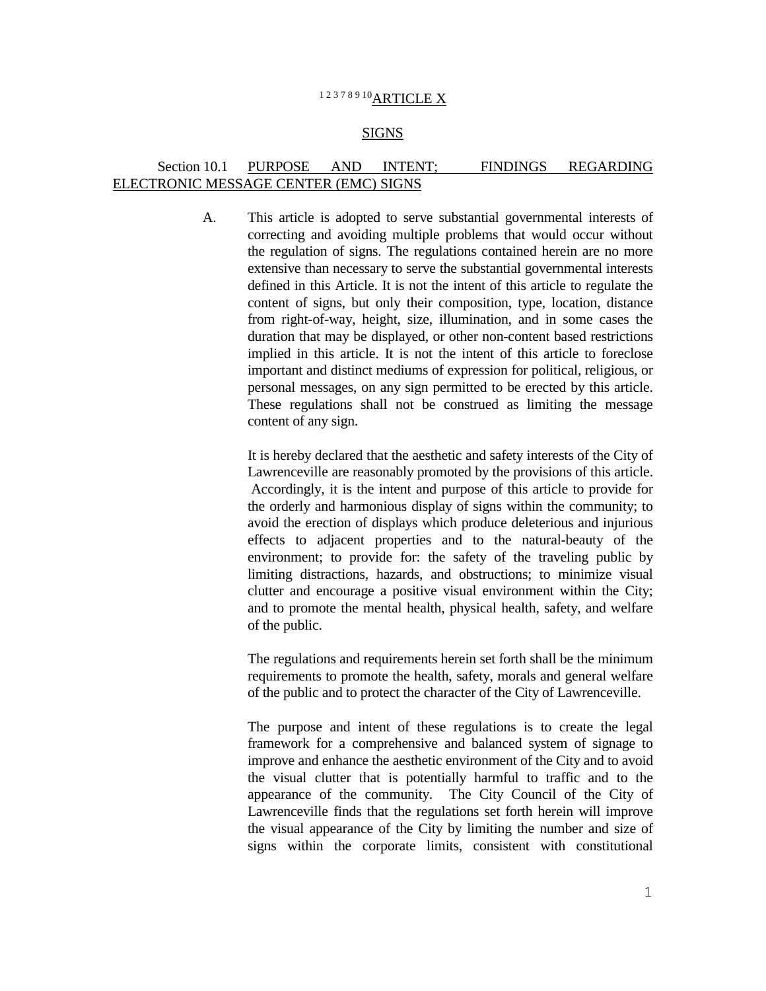# 12378910ARTICLE X

#### SIGNS

## Section 10.1 PURPOSE AND INTENT; FINDINGS REGARDING ELECTRONIC MESSAGE CENTER (EMC) SIGNS

A. This article is adopted to serve substantial governmental interests of correcting and avoiding multiple problems that would occur without the regulation of signs. The regulations contained herein are no more extensive than necessary to serve the substantial governmental interests defined in this Article. It is not the intent of this article to regulate the content of signs, but only their composition, type, location, distance from right-of-way, height, size, illumination, and in some cases the duration that may be displayed, or other non-content based restrictions implied in this article. It is not the intent of this article to foreclose important and distinct mediums of expression for political, religious, or personal messages, on any sign permitted to be erected by this article. These regulations shall not be construed as limiting the message content of any sign.

> It is hereby declared that the aesthetic and safety interests of the City of Lawrenceville are reasonably promoted by the provisions of this article. Accordingly, it is the intent and purpose of this article to provide for the orderly and harmonious display of signs within the community; to avoid the erection of displays which produce deleterious and injurious effects to adjacent properties and to the natural-beauty of the environment; to provide for: the safety of the traveling public by limiting distractions, hazards, and obstructions; to minimize visual clutter and encourage a positive visual environment within the City; and to promote the mental health, physical health, safety, and welfare of the public.

> The regulations and requirements herein set forth shall be the minimum requirements to promote the health, safety, morals and general welfare of the public and to protect the character of the City of Lawrenceville.

> The purpose and intent of these regulations is to create the legal framework for a comprehensive and balanced system of signage to improve and enhance the aesthetic environment of the City and to avoid the visual clutter that is potentially harmful to traffic and to the appearance of the community. The City Council of the City of Lawrenceville finds that the regulations set forth herein will improve the visual appearance of the City by limiting the number and size of signs within the corporate limits, consistent with constitutional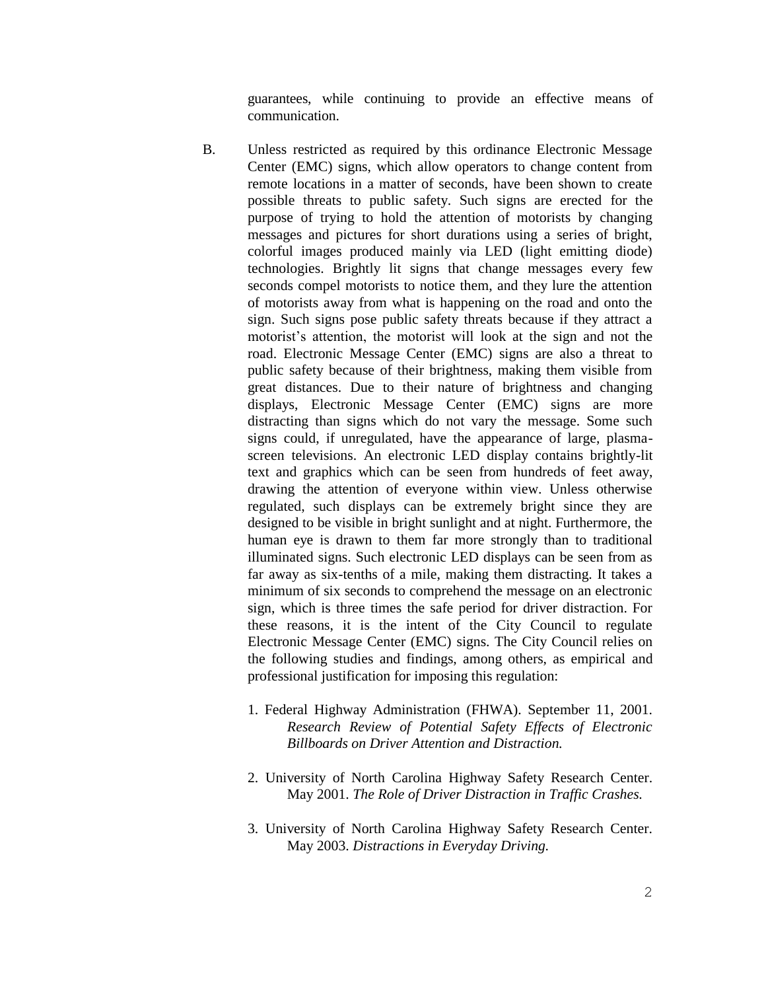guarantees, while continuing to provide an effective means of communication.

- B. Unless restricted as required by this ordinance Electronic Message Center (EMC) signs, which allow operators to change content from remote locations in a matter of seconds, have been shown to create possible threats to public safety. Such signs are erected for the purpose of trying to hold the attention of motorists by changing messages and pictures for short durations using a series of bright, colorful images produced mainly via LED (light emitting diode) technologies. Brightly lit signs that change messages every few seconds compel motorists to notice them, and they lure the attention of motorists away from what is happening on the road and onto the sign. Such signs pose public safety threats because if they attract a motorist's attention, the motorist will look at the sign and not the road. Electronic Message Center (EMC) signs are also a threat to public safety because of their brightness, making them visible from great distances. Due to their nature of brightness and changing displays, Electronic Message Center (EMC) signs are more distracting than signs which do not vary the message. Some such signs could, if unregulated, have the appearance of large, plasmascreen televisions. An electronic LED display contains brightly-lit text and graphics which can be seen from hundreds of feet away, drawing the attention of everyone within view. Unless otherwise regulated, such displays can be extremely bright since they are designed to be visible in bright sunlight and at night. Furthermore, the human eye is drawn to them far more strongly than to traditional illuminated signs. Such electronic LED displays can be seen from as far away as six-tenths of a mile, making them distracting. It takes a minimum of six seconds to comprehend the message on an electronic sign, which is three times the safe period for driver distraction. For these reasons, it is the intent of the City Council to regulate Electronic Message Center (EMC) signs. The City Council relies on the following studies and findings, among others, as empirical and professional justification for imposing this regulation:
	- 1. Federal Highway Administration (FHWA). September 11, 2001. *Research Review of Potential Safety Effects of Electronic Billboards on Driver Attention and Distraction.*
	- 2. University of North Carolina Highway Safety Research Center. May 2001. *The Role of Driver Distraction in Traffic Crashes.*
	- 3. University of North Carolina Highway Safety Research Center. May 2003. *Distractions in Everyday Driving.*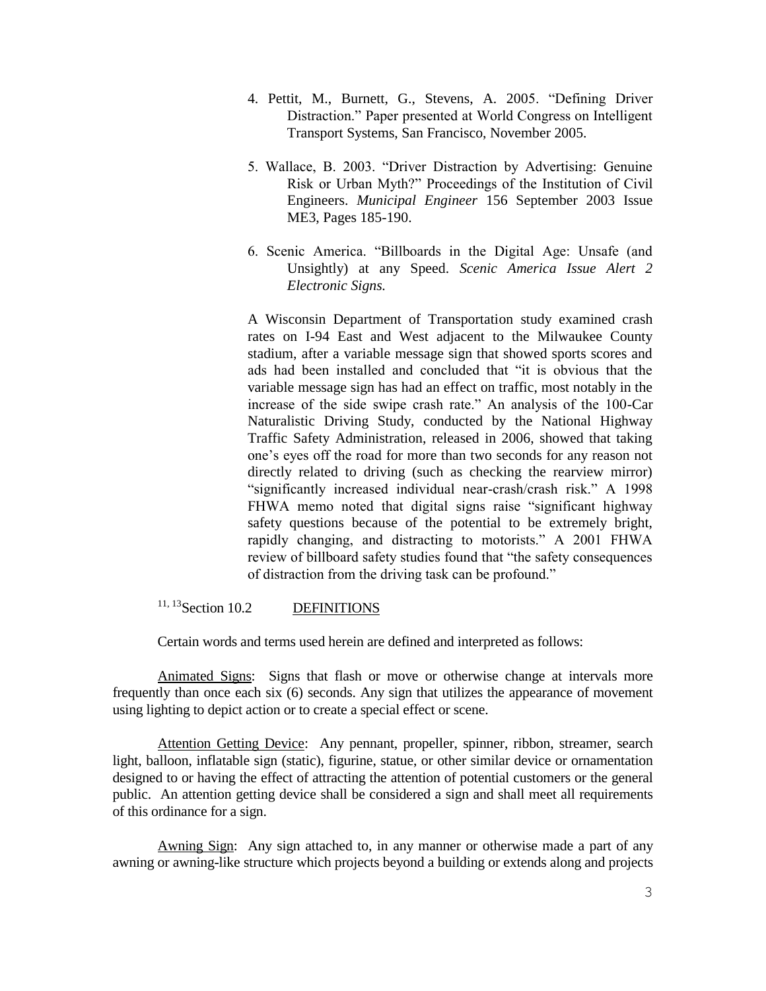- 4. Pettit, M., Burnett, G., Stevens, A. 2005. "Defining Driver Distraction." Paper presented at World Congress on Intelligent Transport Systems, San Francisco, November 2005.
- 5. Wallace, B. 2003. "Driver Distraction by Advertising: Genuine Risk or Urban Myth?" Proceedings of the Institution of Civil Engineers. *Municipal Engineer* 156 September 2003 Issue ME3, Pages 185-190.
- 6. Scenic America. "Billboards in the Digital Age: Unsafe (and Unsightly) at any Speed. *Scenic America Issue Alert 2 Electronic Signs.*

A Wisconsin Department of Transportation study examined crash rates on I-94 East and West adjacent to the Milwaukee County stadium, after a variable message sign that showed sports scores and ads had been installed and concluded that "it is obvious that the variable message sign has had an effect on traffic, most notably in the increase of the side swipe crash rate." An analysis of the 100-Car Naturalistic Driving Study, conducted by the National Highway Traffic Safety Administration, released in 2006, showed that taking one's eyes off the road for more than two seconds for any reason not directly related to driving (such as checking the rearview mirror) "significantly increased individual near-crash/crash risk." A 1998 FHWA memo noted that digital signs raise "significant highway safety questions because of the potential to be extremely bright, rapidly changing, and distracting to motorists." A 2001 FHWA review of billboard safety studies found that "the safety consequences of distraction from the driving task can be profound."

# <sup>11, 13</sup>Section 10.2 DEFINITIONS

Certain words and terms used herein are defined and interpreted as follows:

Animated Signs: Signs that flash or move or otherwise change at intervals more frequently than once each six (6) seconds. Any sign that utilizes the appearance of movement using lighting to depict action or to create a special effect or scene.

Attention Getting Device: Any pennant, propeller, spinner, ribbon, streamer, search light, balloon, inflatable sign (static), figurine, statue, or other similar device or ornamentation designed to or having the effect of attracting the attention of potential customers or the general public. An attention getting device shall be considered a sign and shall meet all requirements of this ordinance for a sign.

Awning Sign: Any sign attached to, in any manner or otherwise made a part of any awning or awning-like structure which projects beyond a building or extends along and projects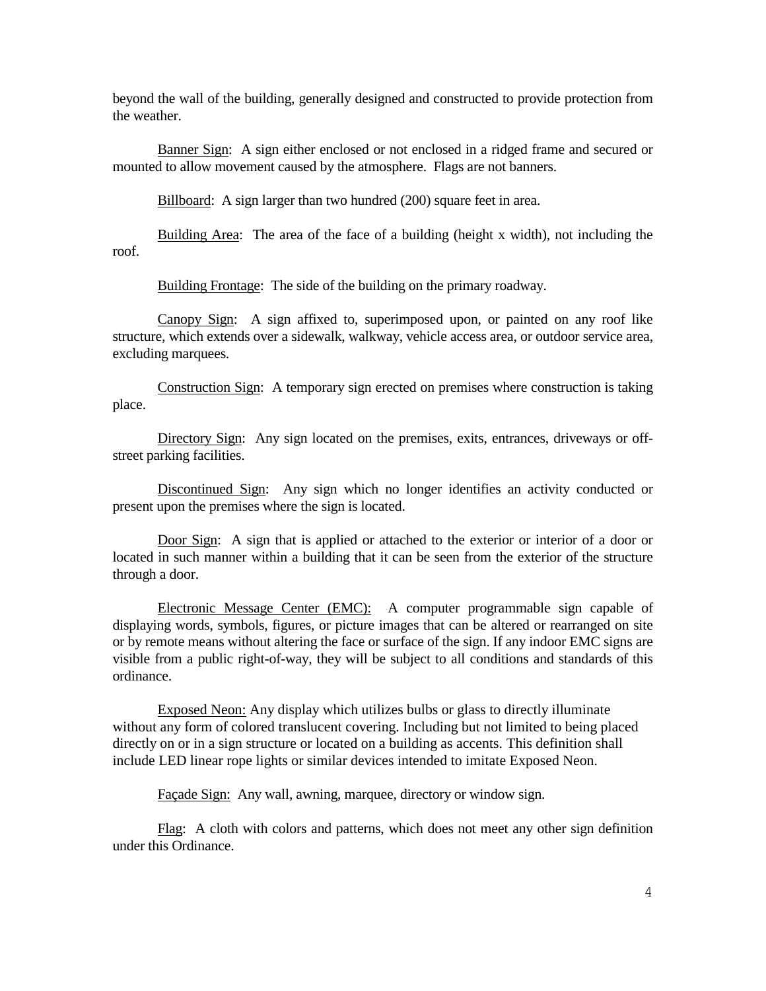beyond the wall of the building, generally designed and constructed to provide protection from the weather.

Banner Sign: A sign either enclosed or not enclosed in a ridged frame and secured or mounted to allow movement caused by the atmosphere. Flags are not banners.

Billboard: A sign larger than two hundred (200) square feet in area.

Building Area: The area of the face of a building (height x width), not including the roof.

Building Frontage: The side of the building on the primary roadway.

Canopy Sign: A sign affixed to, superimposed upon, or painted on any roof like structure, which extends over a sidewalk, walkway, vehicle access area, or outdoor service area, excluding marquees.

Construction Sign: A temporary sign erected on premises where construction is taking place.

Directory Sign: Any sign located on the premises, exits, entrances, driveways or offstreet parking facilities.

Discontinued Sign: Any sign which no longer identifies an activity conducted or present upon the premises where the sign is located.

Door Sign: A sign that is applied or attached to the exterior or interior of a door or located in such manner within a building that it can be seen from the exterior of the structure through a door.

Electronic Message Center (EMC): A computer programmable sign capable of displaying words, symbols, figures, or picture images that can be altered or rearranged on site or by remote means without altering the face or surface of the sign. If any indoor EMC signs are visible from a public right-of-way, they will be subject to all conditions and standards of this ordinance.

Exposed Neon: Any display which utilizes bulbs or glass to directly illuminate without any form of colored translucent covering. Including but not limited to being placed directly on or in a sign structure or located on a building as accents. This definition shall include LED linear rope lights or similar devices intended to imitate Exposed Neon.

Façade Sign: Any wall, awning, marquee, directory or window sign.

Flag: A cloth with colors and patterns, which does not meet any other sign definition under this Ordinance.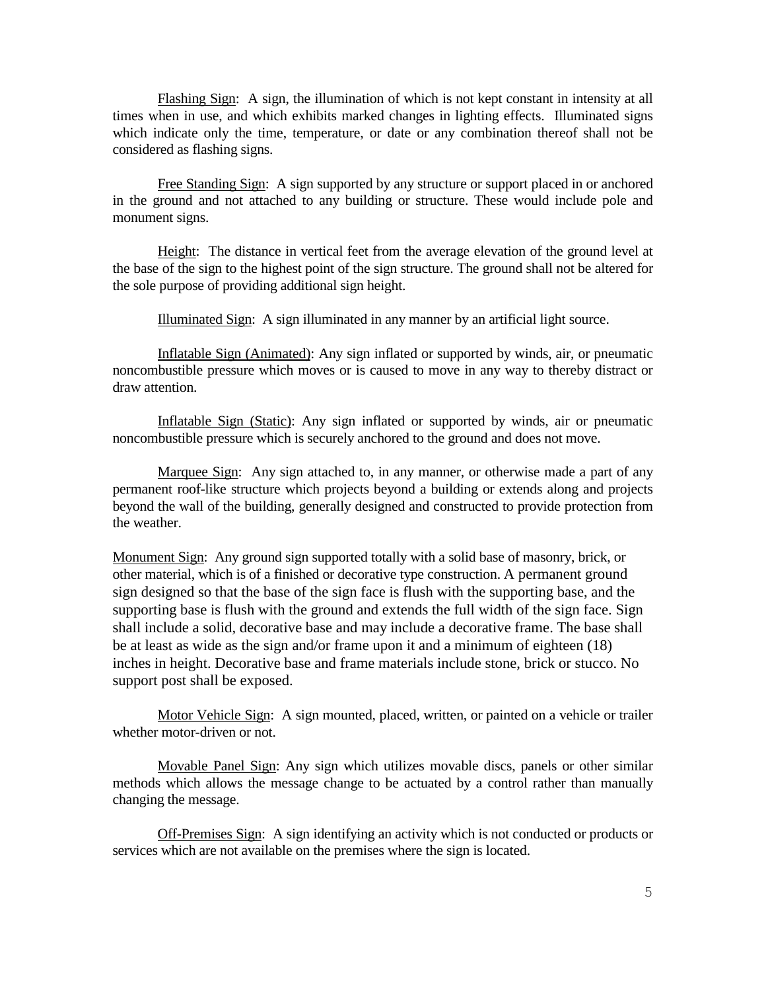Flashing Sign: A sign, the illumination of which is not kept constant in intensity at all times when in use, and which exhibits marked changes in lighting effects. Illuminated signs which indicate only the time, temperature, or date or any combination thereof shall not be considered as flashing signs.

Free Standing Sign: A sign supported by any structure or support placed in or anchored in the ground and not attached to any building or structure. These would include pole and monument signs.

Height: The distance in vertical feet from the average elevation of the ground level at the base of the sign to the highest point of the sign structure. The ground shall not be altered for the sole purpose of providing additional sign height.

Illuminated Sign: A sign illuminated in any manner by an artificial light source.

Inflatable Sign (Animated): Any sign inflated or supported by winds, air, or pneumatic noncombustible pressure which moves or is caused to move in any way to thereby distract or draw attention.

Inflatable Sign (Static): Any sign inflated or supported by winds, air or pneumatic noncombustible pressure which is securely anchored to the ground and does not move.

Marquee Sign: Any sign attached to, in any manner, or otherwise made a part of any permanent roof-like structure which projects beyond a building or extends along and projects beyond the wall of the building, generally designed and constructed to provide protection from the weather.

Monument Sign: Any ground sign supported totally with a solid base of masonry, brick, or other material, which is of a finished or decorative type construction. A permanent ground sign designed so that the base of the sign face is flush with the supporting base, and the supporting base is flush with the ground and extends the full width of the sign face. Sign shall include a solid, decorative base and may include a decorative frame. The base shall be at least as wide as the sign and/or frame upon it and a minimum of eighteen (18) inches in height. Decorative base and frame materials include stone, brick or stucco. No support post shall be exposed.

Motor Vehicle Sign: A sign mounted, placed, written, or painted on a vehicle or trailer whether motor-driven or not.

Movable Panel Sign: Any sign which utilizes movable discs, panels or other similar methods which allows the message change to be actuated by a control rather than manually changing the message.

Off-Premises Sign: A sign identifying an activity which is not conducted or products or services which are not available on the premises where the sign is located.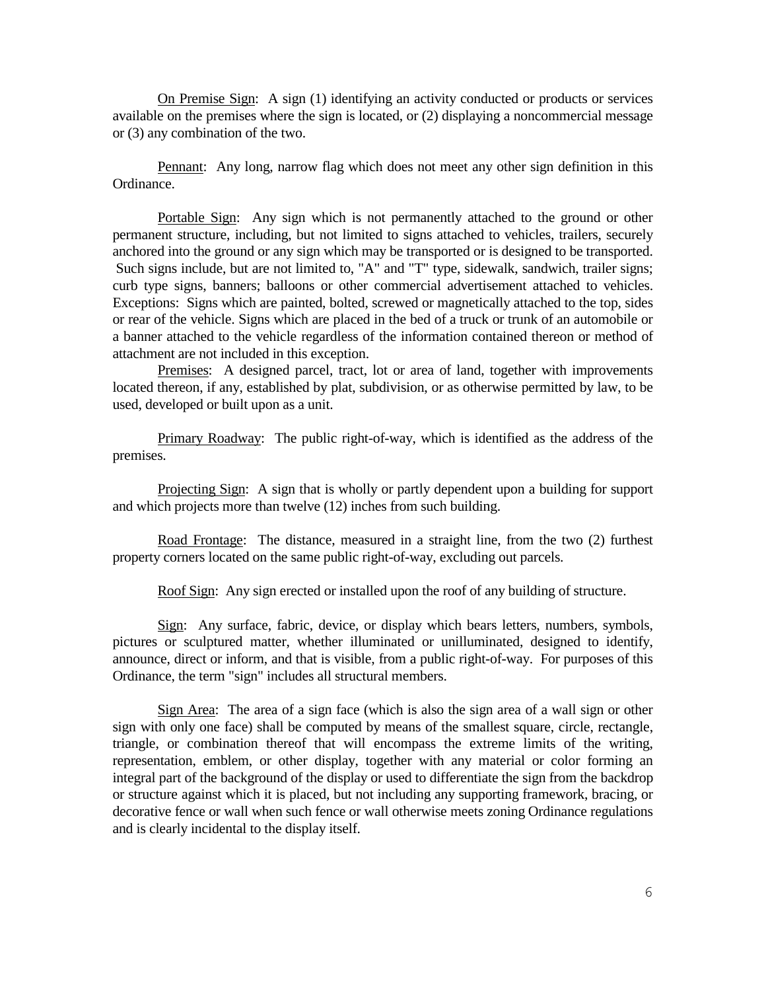On Premise Sign: A sign (1) identifying an activity conducted or products or services available on the premises where the sign is located, or (2) displaying a noncommercial message or (3) any combination of the two.

Pennant: Any long, narrow flag which does not meet any other sign definition in this Ordinance.

Portable Sign: Any sign which is not permanently attached to the ground or other permanent structure, including, but not limited to signs attached to vehicles, trailers, securely anchored into the ground or any sign which may be transported or is designed to be transported. Such signs include, but are not limited to, "A" and "T" type, sidewalk, sandwich, trailer signs; curb type signs, banners; balloons or other commercial advertisement attached to vehicles. Exceptions: Signs which are painted, bolted, screwed or magnetically attached to the top, sides or rear of the vehicle. Signs which are placed in the bed of a truck or trunk of an automobile or a banner attached to the vehicle regardless of the information contained thereon or method of attachment are not included in this exception.

Premises: A designed parcel, tract, lot or area of land, together with improvements located thereon, if any, established by plat, subdivision, or as otherwise permitted by law, to be used, developed or built upon as a unit.

Primary Roadway: The public right-of-way, which is identified as the address of the premises.

Projecting Sign: A sign that is wholly or partly dependent upon a building for support and which projects more than twelve (12) inches from such building.

Road Frontage: The distance, measured in a straight line, from the two (2) furthest property corners located on the same public right-of-way, excluding out parcels.

Roof Sign: Any sign erected or installed upon the roof of any building of structure.

Sign: Any surface, fabric, device, or display which bears letters, numbers, symbols, pictures or sculptured matter, whether illuminated or unilluminated, designed to identify, announce, direct or inform, and that is visible, from a public right-of-way. For purposes of this Ordinance, the term "sign" includes all structural members.

Sign Area: The area of a sign face (which is also the sign area of a wall sign or other sign with only one face) shall be computed by means of the smallest square, circle, rectangle, triangle, or combination thereof that will encompass the extreme limits of the writing, representation, emblem, or other display, together with any material or color forming an integral part of the background of the display or used to differentiate the sign from the backdrop or structure against which it is placed, but not including any supporting framework, bracing, or decorative fence or wall when such fence or wall otherwise meets zoning Ordinance regulations and is clearly incidental to the display itself.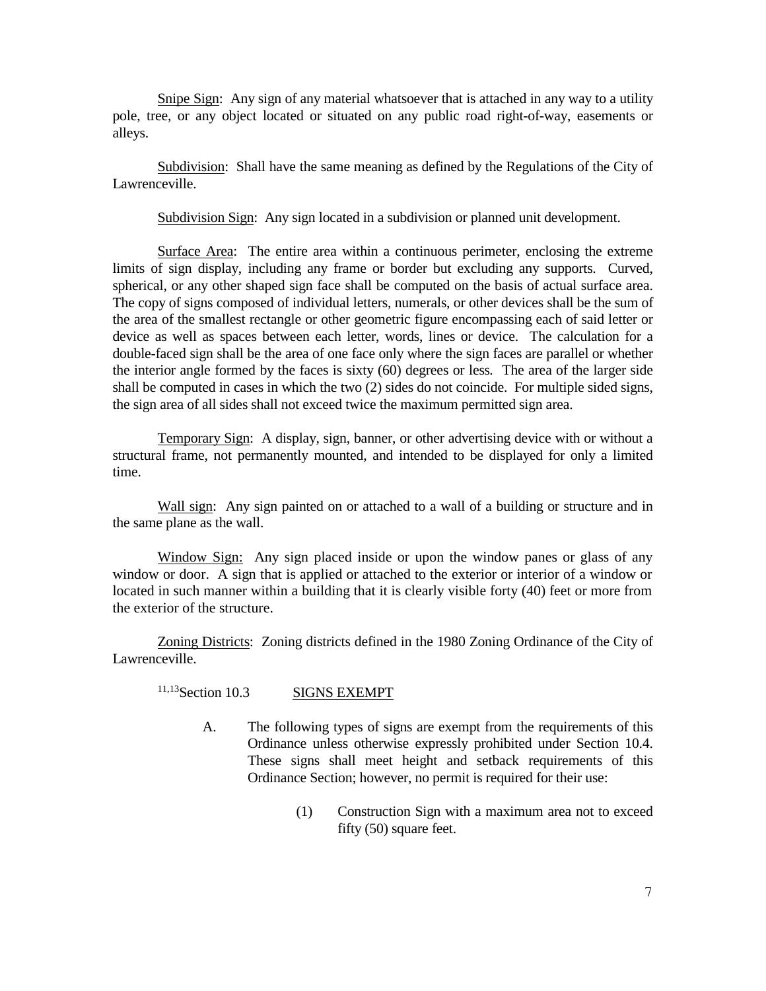Snipe Sign: Any sign of any material whatsoever that is attached in any way to a utility pole, tree, or any object located or situated on any public road right-of-way, easements or alleys.

Subdivision: Shall have the same meaning as defined by the Regulations of the City of Lawrenceville.

Subdivision Sign: Any sign located in a subdivision or planned unit development.

Surface Area: The entire area within a continuous perimeter, enclosing the extreme limits of sign display, including any frame or border but excluding any supports. Curved, spherical, or any other shaped sign face shall be computed on the basis of actual surface area. The copy of signs composed of individual letters, numerals, or other devices shall be the sum of the area of the smallest rectangle or other geometric figure encompassing each of said letter or device as well as spaces between each letter, words, lines or device. The calculation for a double-faced sign shall be the area of one face only where the sign faces are parallel or whether the interior angle formed by the faces is sixty (60) degrees or less*.* The area of the larger side shall be computed in cases in which the two (2) sides do not coincide. For multiple sided signs, the sign area of all sides shall not exceed twice the maximum permitted sign area.

Temporary Sign: A display, sign, banner, or other advertising device with or without a structural frame, not permanently mounted, and intended to be displayed for only a limited time.

Wall sign: Any sign painted on or attached to a wall of a building or structure and in the same plane as the wall.

Window Sign: Any sign placed inside or upon the window panes or glass of any window or door. A sign that is applied or attached to the exterior or interior of a window or located in such manner within a building that it is clearly visible forty (40) feet or more from the exterior of the structure.

Zoning Districts: Zoning districts defined in the 1980 Zoning Ordinance of the City of Lawrenceville.

<sup>11,13</sup>Section 10.3 SIGNS EXEMPT

- A. The following types of signs are exempt from the requirements of this Ordinance unless otherwise expressly prohibited under Section 10.4. These signs shall meet height and setback requirements of this Ordinance Section; however, no permit is required for their use:
	- (1) Construction Sign with a maximum area not to exceed fifty (50) square feet.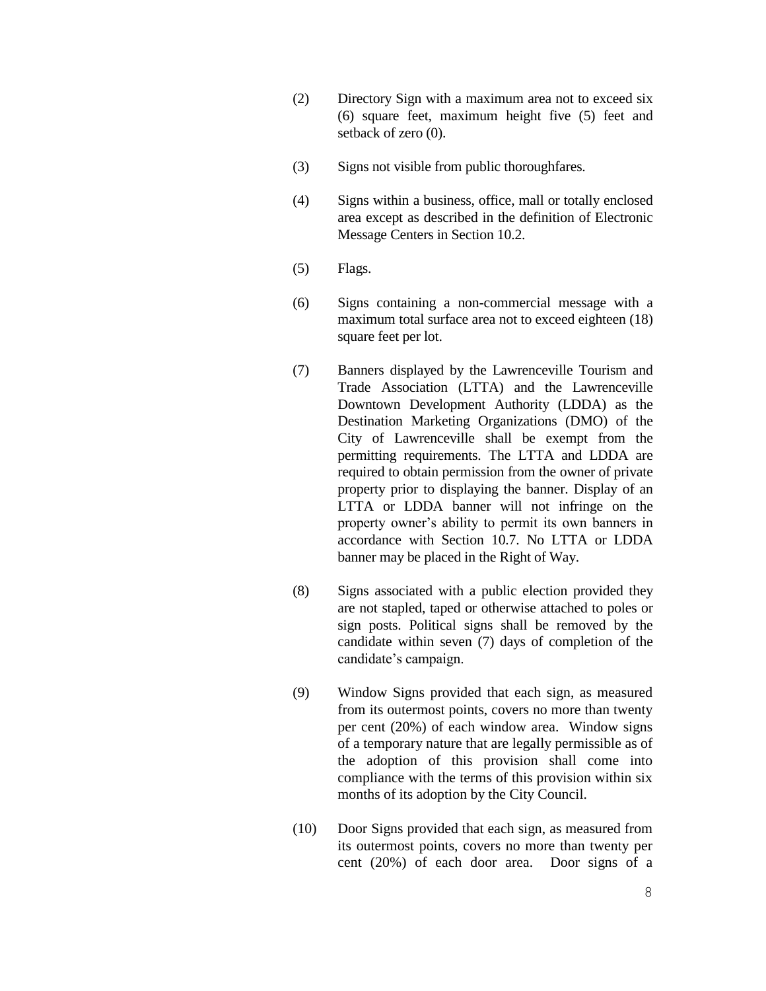- (2) Directory Sign with a maximum area not to exceed six (6) square feet, maximum height five (5) feet and setback of zero (0).
- (3) Signs not visible from public thoroughfares.
- (4) Signs within a business, office, mall or totally enclosed area except as described in the definition of Electronic Message Centers in Section 10.2.
- (5) Flags.
- (6) Signs containing a non-commercial message with a maximum total surface area not to exceed eighteen (18) square feet per lot.
- (7) Banners displayed by the Lawrenceville Tourism and Trade Association (LTTA) and the Lawrenceville Downtown Development Authority (LDDA) as the Destination Marketing Organizations (DMO) of the City of Lawrenceville shall be exempt from the permitting requirements. The LTTA and LDDA are required to obtain permission from the owner of private property prior to displaying the banner. Display of an LTTA or LDDA banner will not infringe on the property owner's ability to permit its own banners in accordance with Section 10.7. No LTTA or LDDA banner may be placed in the Right of Way.
- (8) Signs associated with a public election provided they are not stapled, taped or otherwise attached to poles or sign posts. Political signs shall be removed by the candidate within seven (7) days of completion of the candidate's campaign.
- (9) Window Signs provided that each sign, as measured from its outermost points, covers no more than twenty per cent (20%) of each window area. Window signs of a temporary nature that are legally permissible as of the adoption of this provision shall come into compliance with the terms of this provision within six months of its adoption by the City Council.
- (10) Door Signs provided that each sign, as measured from its outermost points, covers no more than twenty per cent (20%) of each door area. Door signs of a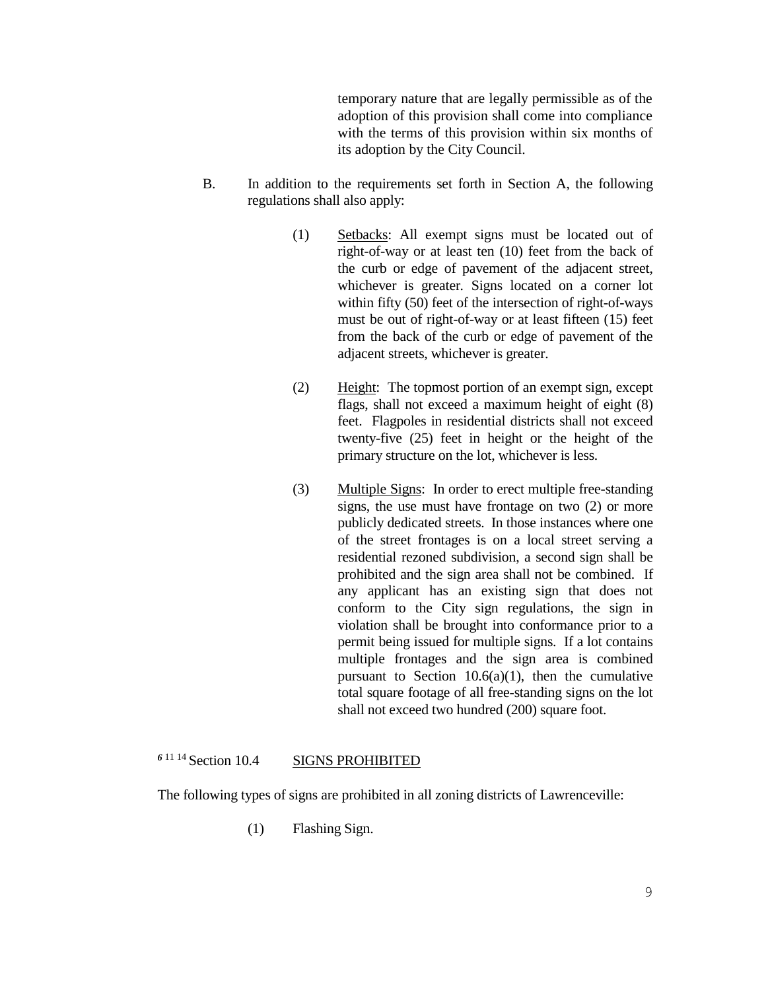temporary nature that are legally permissible as of the adoption of this provision shall come into compliance with the terms of this provision within six months of its adoption by the City Council.

- B. In addition to the requirements set forth in Section A, the following regulations shall also apply:
	- (1) Setbacks: All exempt signs must be located out of right-of-way or at least ten (10) feet from the back of the curb or edge of pavement of the adjacent street, whichever is greater*.* Signs located on a corner lot within fifty (50) feet of the intersection of right-of-ways must be out of right-of-way or at least fifteen (15) feet from the back of the curb or edge of pavement of the adjacent streets, whichever is greater.
	- (2) Height: The topmost portion of an exempt sign, except flags, shall not exceed a maximum height of eight (8) feet. Flagpoles in residential districts shall not exceed twenty-five (25) feet in height or the height of the primary structure on the lot, whichever is less.
	- (3) Multiple Signs:In order to erect multiple free-standing signs, the use must have frontage on two (2) or more publicly dedicated streets. In those instances where one of the street frontages is on a local street serving a residential rezoned subdivision, a second sign shall be prohibited and the sign area shall not be combined. If any applicant has an existing sign that does not conform to the City sign regulations, the sign in violation shall be brought into conformance prior to a permit being issued for multiple signs. If a lot contains multiple frontages and the sign area is combined pursuant to Section  $10.6(a)(1)$ , then the cumulative total square footage of all free-standing signs on the lot shall not exceed two hundred (200) square foot.

# *<sup>6</sup>* <sup>11</sup> <sup>14</sup>Section 10.4 SIGNS PROHIBITED

The following types of signs are prohibited in all zoning districts of Lawrenceville:

(1) Flashing Sign.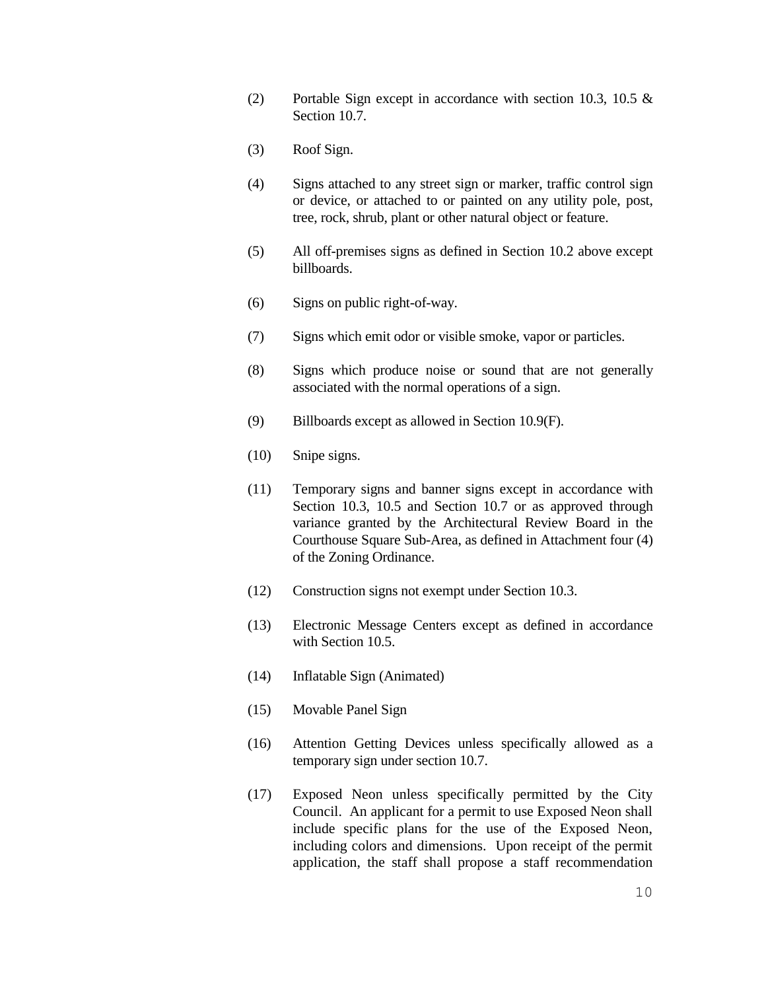- (2) Portable Sign except in accordance with section 10.3, 10.5 & Section 10.7.
- (3) Roof Sign.
- (4) Signs attached to any street sign or marker, traffic control sign or device, or attached to or painted on any utility pole, post, tree, rock, shrub, plant or other natural object or feature.
- (5) All off-premises signs as defined in Section 10.2 above except billboards.
- (6) Signs on public right-of-way.
- (7) Signs which emit odor or visible smoke, vapor or particles.
- (8) Signs which produce noise or sound that are not generally associated with the normal operations of a sign.
- (9) Billboards except as allowed in Section 10.9(F).
- (10) Snipe signs.
- (11) Temporary signs and banner signs except in accordance with Section 10.3, 10.5 and Section 10.7 or as approved through variance granted by the Architectural Review Board in the Courthouse Square Sub-Area, as defined in Attachment four (4) of the Zoning Ordinance.
- (12) Construction signs not exempt under Section 10.3.
- (13) Electronic Message Centers except as defined in accordance with Section 10.5.
- (14) Inflatable Sign (Animated)
- (15) Movable Panel Sign
- (16) Attention Getting Devices unless specifically allowed as a temporary sign under section 10.7.
- (17) Exposed Neon unless specifically permitted by the City Council. An applicant for a permit to use Exposed Neon shall include specific plans for the use of the Exposed Neon, including colors and dimensions. Upon receipt of the permit application, the staff shall propose a staff recommendation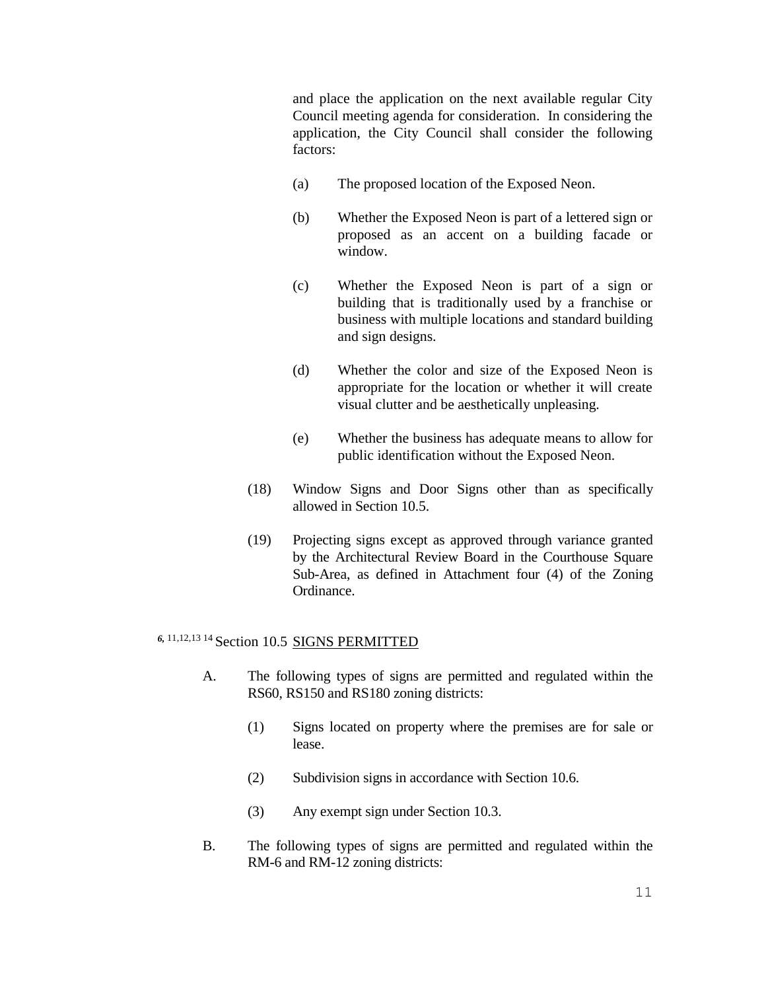and place the application on the next available regular City Council meeting agenda for consideration. In considering the application, the City Council shall consider the following factors:

- (a) The proposed location of the Exposed Neon.
- (b) Whether the Exposed Neon is part of a lettered sign or proposed as an accent on a building facade or window.
- (c) Whether the Exposed Neon is part of a sign or building that is traditionally used by a franchise or business with multiple locations and standard building and sign designs.
- (d) Whether the color and size of the Exposed Neon is appropriate for the location or whether it will create visual clutter and be aesthetically unpleasing.
- (e) Whether the business has adequate means to allow for public identification without the Exposed Neon.
- (18) Window Signs and Door Signs other than as specifically allowed in Section 10.5.
- (19) Projecting signs except as approved through variance granted by the Architectural Review Board in the Courthouse Square Sub-Area, as defined in Attachment four (4) of the Zoning Ordinance.

# 6, 11, 12, 13 <sup>14</sup> Section 10.5 SIGNS PERMITTED

- A. The following types of signs are permitted and regulated within the RS60, RS150 and RS180 zoning districts:
	- (1) Signs located on property where the premises are for sale or lease.
	- (2) Subdivision signs in accordance with Section 10.6.
	- (3) Any exempt sign under Section 10.3.
- B. The following types of signs are permitted and regulated within the RM-6 and RM-12 zoning districts: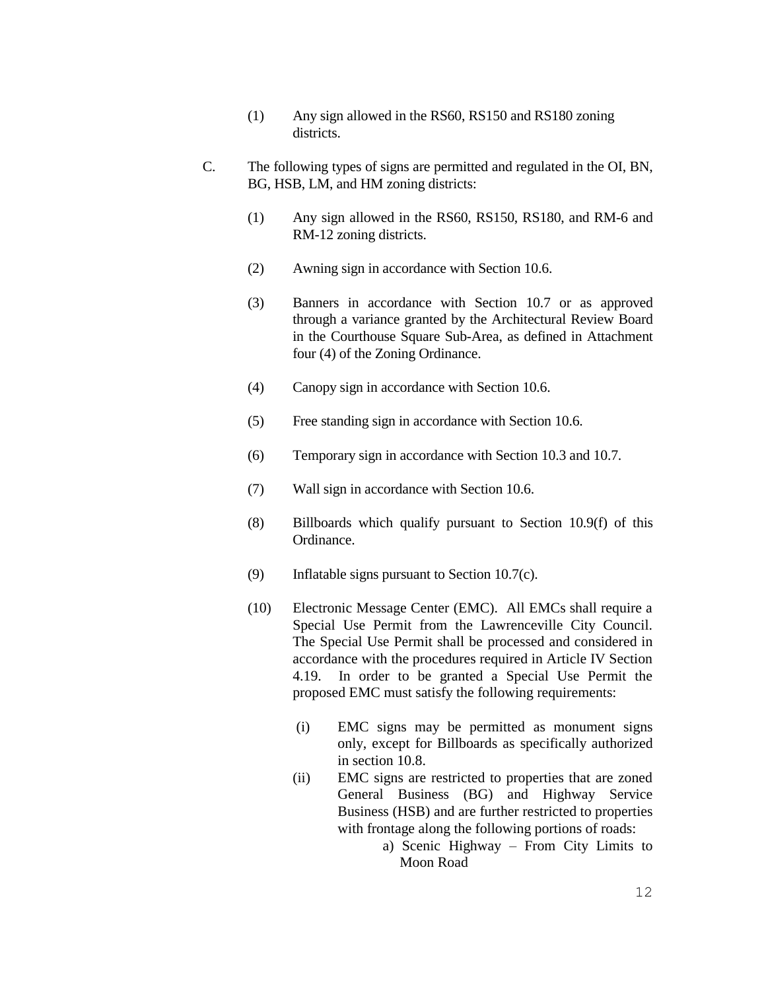- (1) Any sign allowed in the RS60, RS150 and RS180 zoning districts.
- C. The following types of signs are permitted and regulated in the OI, BN, BG, HSB, LM, and HM zoning districts:
	- (1) Any sign allowed in the RS60, RS150, RS180, and RM-6 and RM-12 zoning districts.
	- (2) Awning sign in accordance with Section 10.6.
	- (3) Banners in accordance with Section 10.7 or as approved through a variance granted by the Architectural Review Board in the Courthouse Square Sub-Area, as defined in Attachment four (4) of the Zoning Ordinance.
	- (4) Canopy sign in accordance with Section 10.6.
	- (5) Free standing sign in accordance with Section 10.6.
	- (6) Temporary sign in accordance with Section 10.3 and 10.7.
	- (7) Wall sign in accordance with Section 10.6.
	- (8) Billboards which qualify pursuant to Section 10.9(f) of this Ordinance.
	- (9) Inflatable signs pursuant to Section 10.7(c).
	- (10) Electronic Message Center (EMC). All EMCs shall require a Special Use Permit from the Lawrenceville City Council. The Special Use Permit shall be processed and considered in accordance with the procedures required in Article IV Section 4.19. In order to be granted a Special Use Permit the proposed EMC must satisfy the following requirements:
		- (i) EMC signs may be permitted as monument signs only, except for Billboards as specifically authorized in section 10.8.
		- (ii) EMC signs are restricted to properties that are zoned General Business (BG) and Highway Service Business (HSB) and are further restricted to properties with frontage along the following portions of roads:
			- a) Scenic Highway From City Limits to Moon Road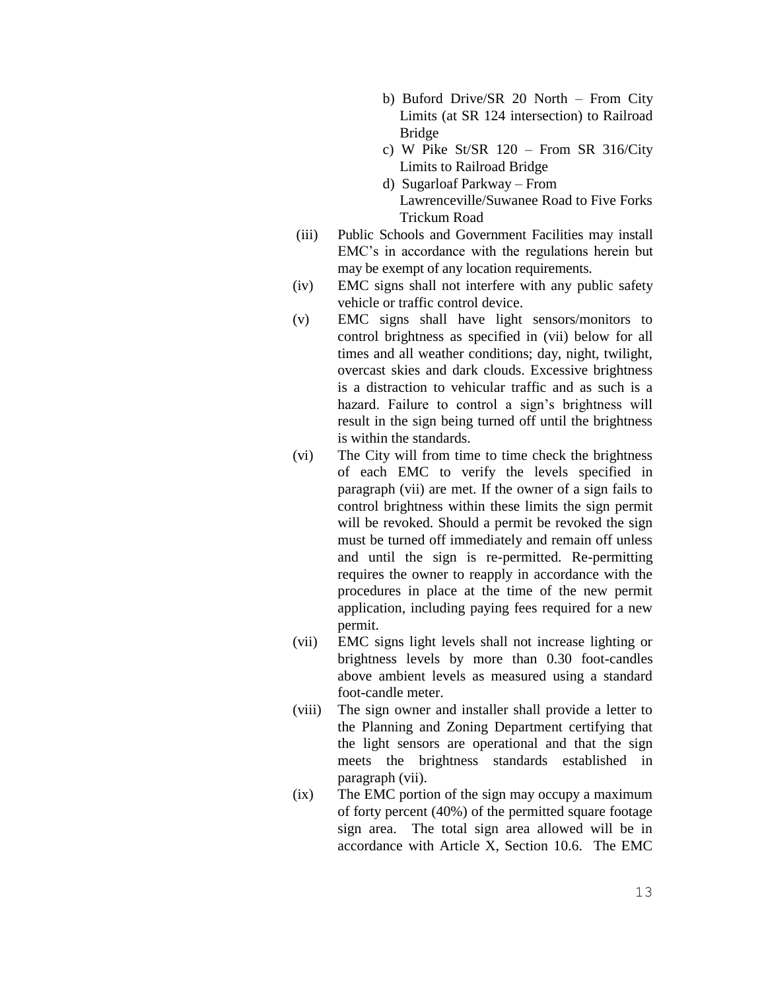- b) Buford Drive/SR 20 North From City Limits (at SR 124 intersection) to Railroad Bridge
- c) W Pike St/SR  $120$  From SR 316/City Limits to Railroad Bridge
- d) Sugarloaf Parkway From Lawrenceville/Suwanee Road to Five Forks Trickum Road
- (iii) Public Schools and Government Facilities may install EMC's in accordance with the regulations herein but may be exempt of any location requirements.
- (iv) EMC signs shall not interfere with any public safety vehicle or traffic control device.
- (v) EMC signs shall have light sensors/monitors to control brightness as specified in (vii) below for all times and all weather conditions; day, night, twilight, overcast skies and dark clouds. Excessive brightness is a distraction to vehicular traffic and as such is a hazard. Failure to control a sign's brightness will result in the sign being turned off until the brightness is within the standards.
- (vi) The City will from time to time check the brightness of each EMC to verify the levels specified in paragraph (vii) are met. If the owner of a sign fails to control brightness within these limits the sign permit will be revoked. Should a permit be revoked the sign must be turned off immediately and remain off unless and until the sign is re-permitted. Re-permitting requires the owner to reapply in accordance with the procedures in place at the time of the new permit application, including paying fees required for a new permit.
- (vii) EMC signs light levels shall not increase lighting or brightness levels by more than 0.30 foot-candles above ambient levels as measured using a standard foot-candle meter.
- (viii) The sign owner and installer shall provide a letter to the Planning and Zoning Department certifying that the light sensors are operational and that the sign meets the brightness standards established in paragraph (vii).
- (ix) The EMC portion of the sign may occupy a maximum of forty percent (40%) of the permitted square footage sign area. The total sign area allowed will be in accordance with Article X, Section 10.6. The EMC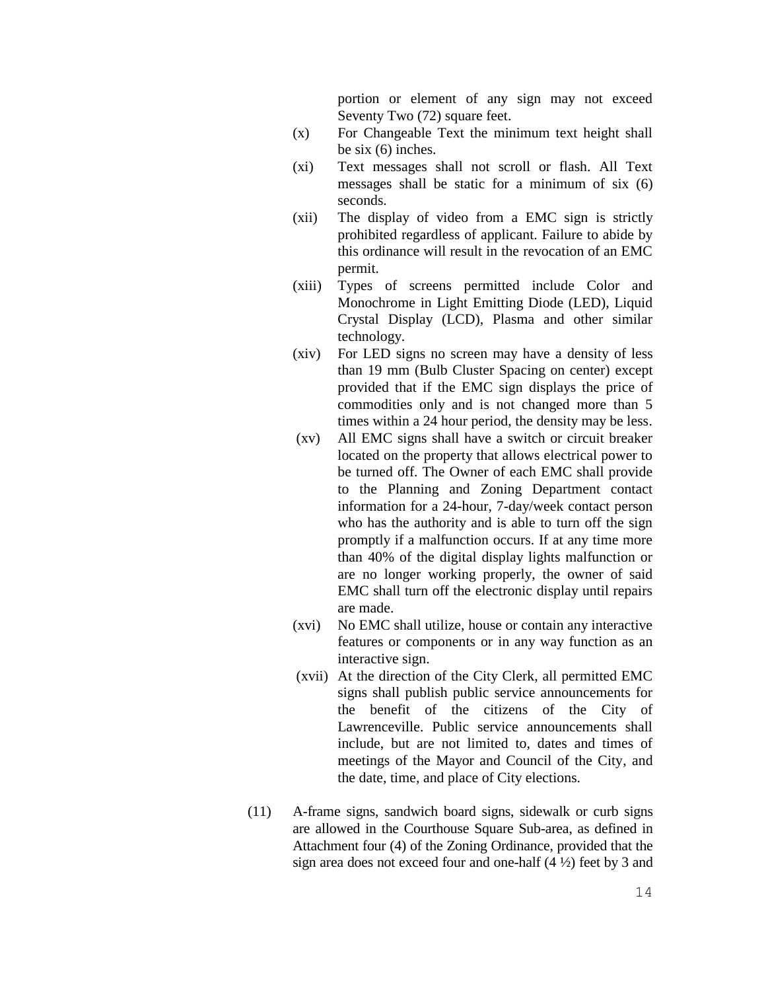portion or element of any sign may not exceed Seventy Two (72) square feet.

- (x) For Changeable Text the minimum text height shall be six (6) inches.
- (xi) Text messages shall not scroll or flash. All Text messages shall be static for a minimum of six (6) seconds.
- (xii) The display of video from a EMC sign is strictly prohibited regardless of applicant. Failure to abide by this ordinance will result in the revocation of an EMC permit.
- (xiii) Types of screens permitted include Color and Monochrome in Light Emitting Diode (LED), Liquid Crystal Display (LCD), Plasma and other similar technology.
- (xiv) For LED signs no screen may have a density of less than 19 mm (Bulb Cluster Spacing on center) except provided that if the EMC sign displays the price of commodities only and is not changed more than 5 times within a 24 hour period, the density may be less.
- (xv) All EMC signs shall have a switch or circuit breaker located on the property that allows electrical power to be turned off. The Owner of each EMC shall provide to the Planning and Zoning Department contact information for a 24-hour, 7-day/week contact person who has the authority and is able to turn off the sign promptly if a malfunction occurs. If at any time more than 40% of the digital display lights malfunction or are no longer working properly, the owner of said EMC shall turn off the electronic display until repairs are made.
- (xvi) No EMC shall utilize, house or contain any interactive features or components or in any way function as an interactive sign.
- (xvii) At the direction of the City Clerk, all permitted EMC signs shall publish public service announcements for the benefit of the citizens of the City of Lawrenceville. Public service announcements shall include, but are not limited to, dates and times of meetings of the Mayor and Council of the City, and the date, time, and place of City elections.
- (11) A-frame signs, sandwich board signs, sidewalk or curb signs are allowed in the Courthouse Square Sub-area, as defined in Attachment four (4) of the Zoning Ordinance, provided that the sign area does not exceed four and one-half  $(4 \frac{1}{2})$  feet by 3 and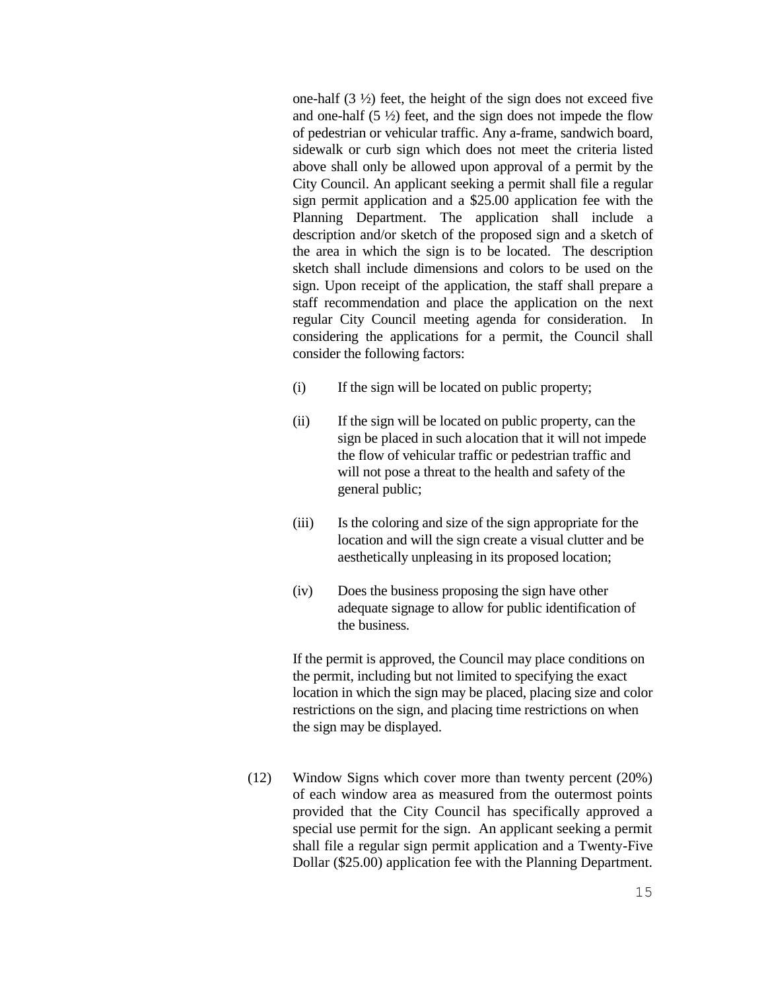one-half  $(3 \frac{1}{2})$  feet, the height of the sign does not exceed five and one-half  $(5 \frac{1}{2})$  feet, and the sign does not impede the flow of pedestrian or vehicular traffic. Any a-frame, sandwich board, sidewalk or curb sign which does not meet the criteria listed above shall only be allowed upon approval of a permit by the City Council. An applicant seeking a permit shall file a regular sign permit application and a \$25.00 application fee with the Planning Department. The application shall include a description and/or sketch of the proposed sign and a sketch of the area in which the sign is to be located. The description sketch shall include dimensions and colors to be used on the sign. Upon receipt of the application, the staff shall prepare a staff recommendation and place the application on the next regular City Council meeting agenda for consideration. In considering the applications for a permit, the Council shall consider the following factors:

- (i) If the sign will be located on public property;
- (ii) If the sign will be located on public property, can the sign be placed in such alocation that it will not impede the flow of vehicular traffic or pedestrian traffic and will not pose a threat to the health and safety of the general public;
- (iii) Is the coloring and size of the sign appropriate for the location and will the sign create a visual clutter and be aesthetically unpleasing in its proposed location;
- (iv) Does the business proposing the sign have other adequate signage to allow for public identification of the business.

If the permit is approved, the Council may place conditions on the permit, including but not limited to specifying the exact location in which the sign may be placed, placing size and color restrictions on the sign, and placing time restrictions on when the sign may be displayed.

(12) Window Signs which cover more than twenty percent (20%) of each window area as measured from the outermost points provided that the City Council has specifically approved a special use permit for the sign. An applicant seeking a permit shall file a regular sign permit application and a Twenty-Five Dollar (\$25.00) application fee with the Planning Department.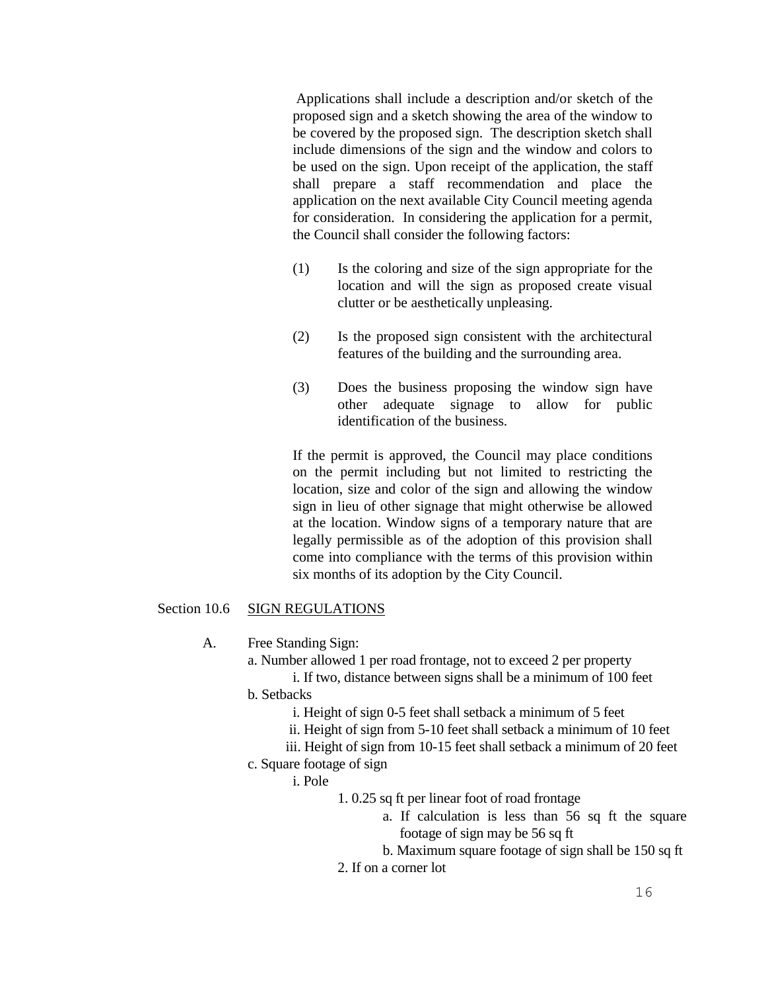Applications shall include a description and/or sketch of the proposed sign and a sketch showing the area of the window to be covered by the proposed sign. The description sketch shall include dimensions of the sign and the window and colors to be used on the sign. Upon receipt of the application, the staff shall prepare a staff recommendation and place the application on the next available City Council meeting agenda for consideration. In considering the application for a permit, the Council shall consider the following factors:

- (1) Is the coloring and size of the sign appropriate for the location and will the sign as proposed create visual clutter or be aesthetically unpleasing.
- (2) Is the proposed sign consistent with the architectural features of the building and the surrounding area.
- (3) Does the business proposing the window sign have other adequate signage to allow for public identification of the business.

If the permit is approved, the Council may place conditions on the permit including but not limited to restricting the location, size and color of the sign and allowing the window sign in lieu of other signage that might otherwise be allowed at the location. Window signs of a temporary nature that are legally permissible as of the adoption of this provision shall come into compliance with the terms of this provision within six months of its adoption by the City Council.

# Section 10.6 SIGN REGULATIONS

A. Free Standing Sign:

a. Number allowed 1 per road frontage, not to exceed 2 per property

i. If two, distance between signs shall be a minimum of 100 feet b. Setbacks

i. Height of sign 0-5 feet shall setback a minimum of 5 feet

ii. Height of sign from 5-10 feet shall setback a minimum of 10 feet

iii. Height of sign from 10-15 feet shall setback a minimum of 20 feet

c. Square footage of sign

i. Pole

1. 0.25 sq ft per linear foot of road frontage

a. If calculation is less than 56 sq ft the square footage of sign may be 56 sq ft

b. Maximum square footage of sign shall be 150 sq ft

2. If on a corner lot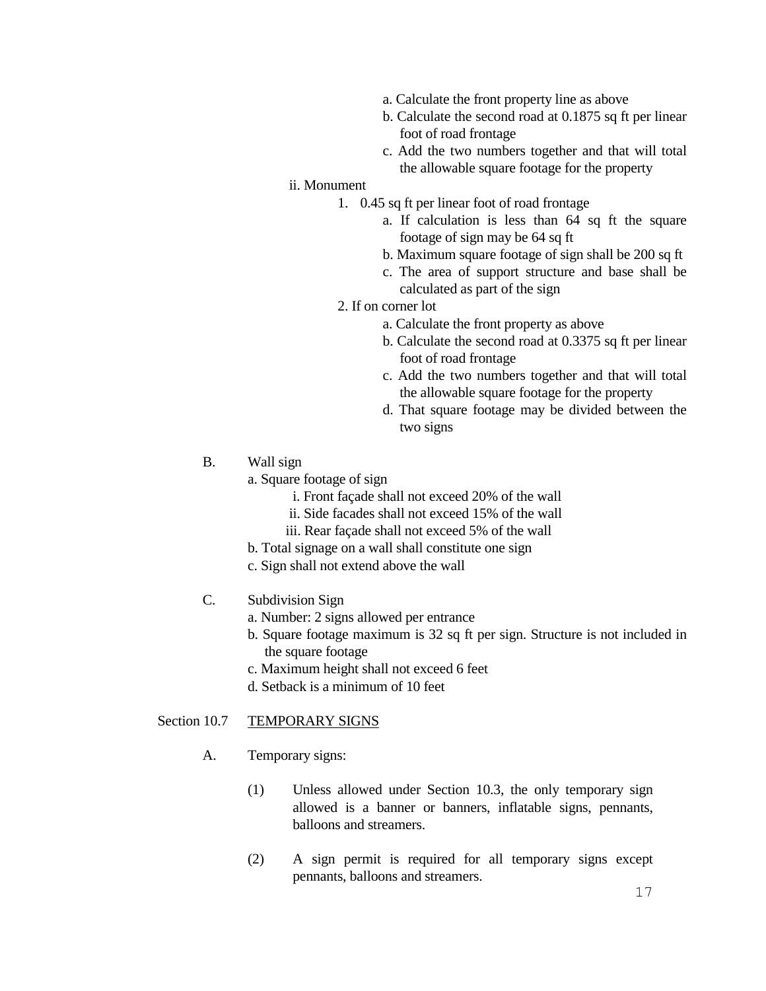- a. Calculate the front property line as above
- b. Calculate the second road at 0.1875 sq ft per linear foot of road frontage
- c. Add the two numbers together and that will total the allowable square footage for the property

# ii. Monument

- 1. 0.45 sq ft per linear foot of road frontage
	- a. If calculation is less than 64 sq ft the square footage of sign may be 64 sq ft
	- b. Maximum square footage of sign shall be 200 sq ft
	- c. The area of support structure and base shall be calculated as part of the sign

#### 2. If on corner lot

- a. Calculate the front property as above
- b. Calculate the second road at 0.3375 sq ft per linear foot of road frontage
- c. Add the two numbers together and that will total the allowable square footage for the property
- d. That square footage may be divided between the two signs
- B. Wall sign
	- a. Square footage of sign
		- i. Front façade shall not exceed 20% of the wall
		- ii. Side facades shall not exceed 15% of the wall
		- iii. Rear façade shall not exceed 5% of the wall
	- b. Total signage on a wall shall constitute one sign
	- c. Sign shall not extend above the wall

# C. Subdivision Sign

- a. Number: 2 signs allowed per entrance
- b. Square footage maximum is 32 sq ft per sign. Structure is not included in the square footage
- c. Maximum height shall not exceed 6 feet
- d. Setback is a minimum of 10 feet

#### Section 10.7 TEMPORARY SIGNS

- A. Temporary signs:
	- (1) Unless allowed under Section 10.3, the only temporary sign allowed is a banner or banners, inflatable signs, pennants, balloons and streamers.
	- (2) A sign permit is required for all temporary signs except pennants, balloons and streamers.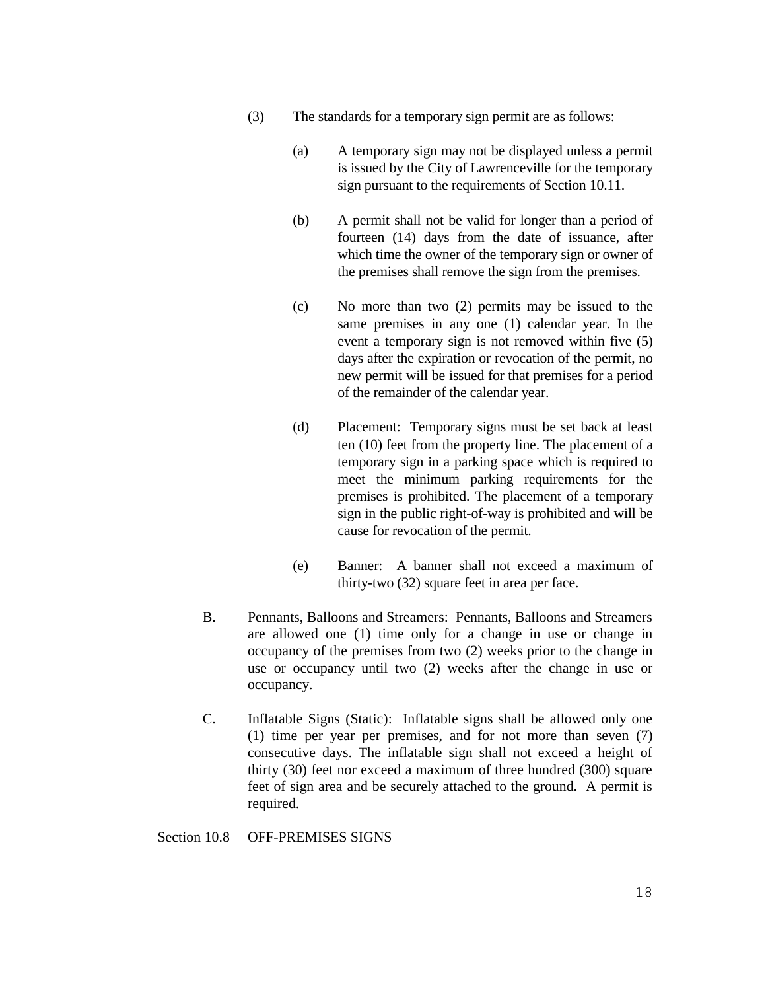- (3) The standards for a temporary sign permit are as follows:
	- (a) A temporary sign may not be displayed unless a permit is issued by the City of Lawrenceville for the temporary sign pursuant to the requirements of Section 10.11.
	- (b) A permit shall not be valid for longer than a period of fourteen (14) days from the date of issuance, after which time the owner of the temporary sign or owner of the premises shall remove the sign from the premises.
	- (c) No more than two (2) permits may be issued to the same premises in any one (1) calendar year. In the event a temporary sign is not removed within five (5) days after the expiration or revocation of the permit, no new permit will be issued for that premises for a period of the remainder of the calendar year.
	- (d) Placement: Temporary signs must be set back at least ten (10) feet from the property line. The placement of a temporary sign in a parking space which is required to meet the minimum parking requirements for the premises is prohibited. The placement of a temporary sign in the public right-of-way is prohibited and will be cause for revocation of the permit.
	- (e) Banner: A banner shall not exceed a maximum of thirty-two (32) square feet in area per face.
- B. Pennants, Balloons and Streamers: Pennants, Balloons and Streamers are allowed one (1) time only for a change in use or change in occupancy of the premises from two (2) weeks prior to the change in use or occupancy until two (2) weeks after the change in use or occupancy.
- C. Inflatable Signs (Static): Inflatable signs shall be allowed only one (1) time per year per premises, and for not more than seven (7) consecutive days. The inflatable sign shall not exceed a height of thirty (30) feet nor exceed a maximum of three hundred (300) square feet of sign area and be securely attached to the ground. A permit is required.

## Section 10.8 OFF-PREMISES SIGNS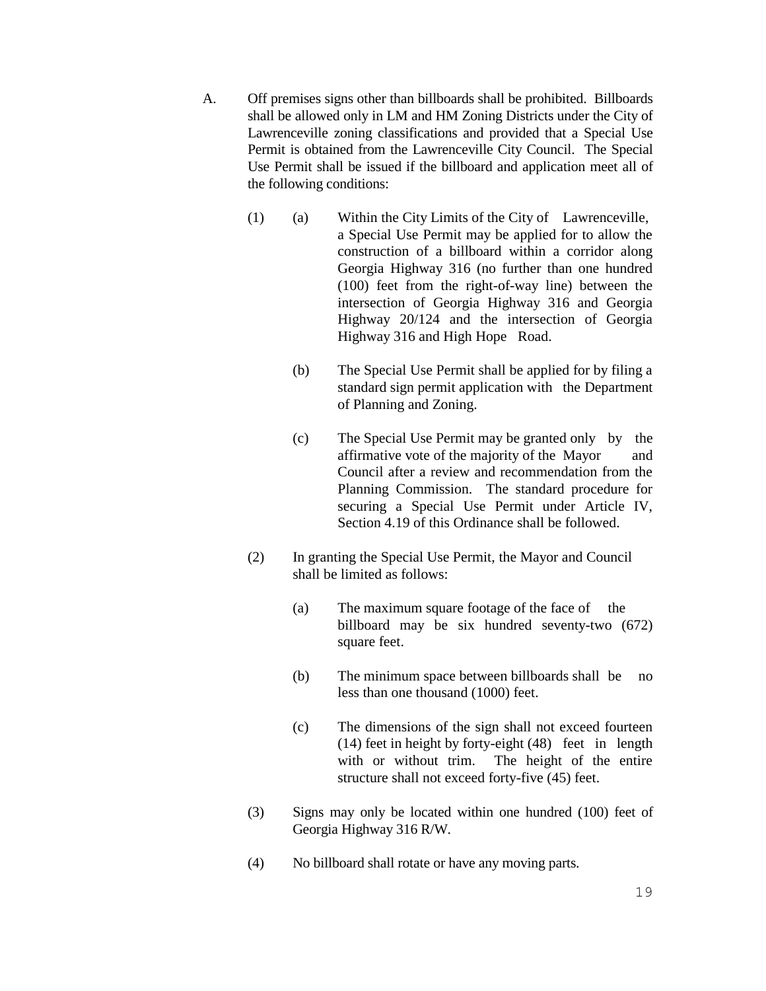- A. Off premises signs other than billboards shall be prohibited. Billboards shall be allowed only in LM and HM Zoning Districts under the City of Lawrenceville zoning classifications and provided that a Special Use Permit is obtained from the Lawrenceville City Council. The Special Use Permit shall be issued if the billboard and application meet all of the following conditions:
	- (1) (a) Within the City Limits of the City of Lawrenceville, a Special Use Permit may be applied for to allow the construction of a billboard within a corridor along Georgia Highway 316 (no further than one hundred (100) feet from the right-of-way line) between the intersection of Georgia Highway 316 and Georgia Highway 20/124 and the intersection of Georgia Highway 316 and High Hope Road.
		- (b) The Special Use Permit shall be applied for by filing a standard sign permit application with the Department of Planning and Zoning.
		- (c) The Special Use Permit may be granted only by the affirmative vote of the majority of the Mayor and Council after a review and recommendation from the Planning Commission. The standard procedure for securing a Special Use Permit under Article IV, Section 4.19 of this Ordinance shall be followed.
	- (2) In granting the Special Use Permit, the Mayor and Council shall be limited as follows:
		- (a) The maximum square footage of the face of the billboard may be six hundred seventy-two (672) square feet.
		- (b) The minimum space between billboards shall be no less than one thousand (1000) feet.
		- (c) The dimensions of the sign shall not exceed fourteen (14) feet in height by forty-eight (48) feet in length with or without trim. The height of the entire structure shall not exceed forty-five (45) feet.
	- (3) Signs may only be located within one hundred (100) feet of Georgia Highway 316 R/W.
	- (4) No billboard shall rotate or have any moving parts.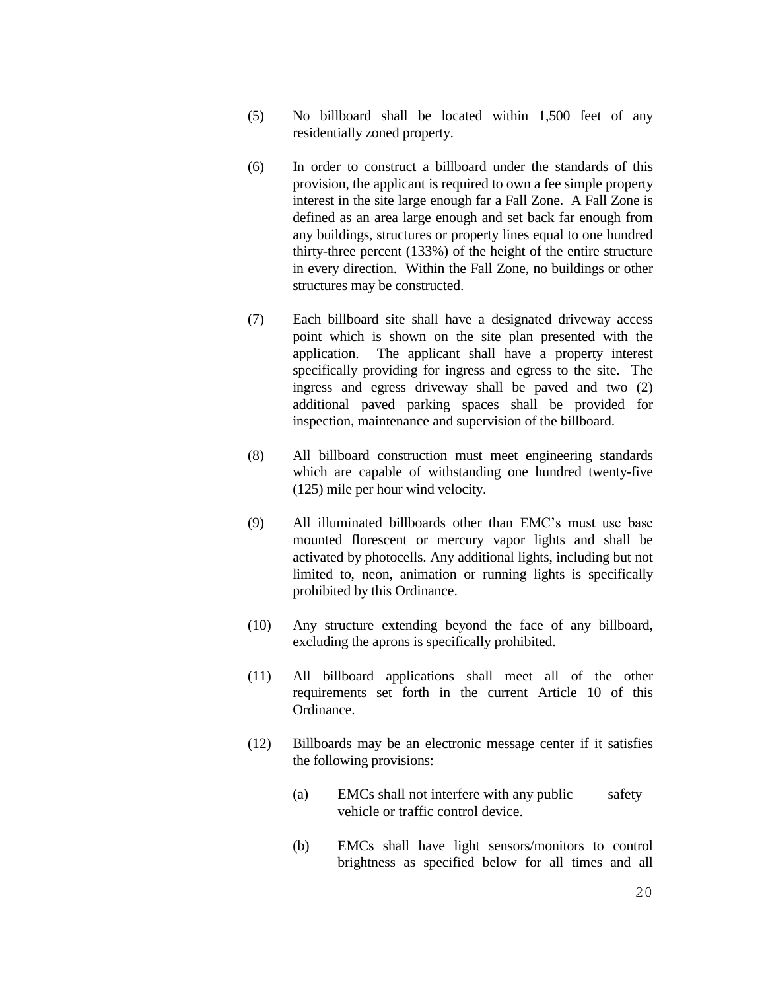- (5) No billboard shall be located within 1,500 feet of any residentially zoned property.
- (6) In order to construct a billboard under the standards of this provision, the applicant is required to own a fee simple property interest in the site large enough far a Fall Zone. A Fall Zone is defined as an area large enough and set back far enough from any buildings, structures or property lines equal to one hundred thirty-three percent (133%) of the height of the entire structure in every direction. Within the Fall Zone, no buildings or other structures may be constructed.
- (7) Each billboard site shall have a designated driveway access point which is shown on the site plan presented with the application. The applicant shall have a property interest specifically providing for ingress and egress to the site. The ingress and egress driveway shall be paved and two (2) additional paved parking spaces shall be provided for inspection, maintenance and supervision of the billboard.
- (8) All billboard construction must meet engineering standards which are capable of withstanding one hundred twenty-five (125) mile per hour wind velocity.
- (9) All illuminated billboards other than EMC's must use base mounted florescent or mercury vapor lights and shall be activated by photocells. Any additional lights, including but not limited to, neon, animation or running lights is specifically prohibited by this Ordinance.
- (10) Any structure extending beyond the face of any billboard, excluding the aprons is specifically prohibited.
- (11) All billboard applications shall meet all of the other requirements set forth in the current Article 10 of this Ordinance.
- (12) Billboards may be an electronic message center if it satisfies the following provisions:
	- (a) EMCs shall not interfere with any public safety vehicle or traffic control device.
	- (b) EMCs shall have light sensors/monitors to control brightness as specified below for all times and all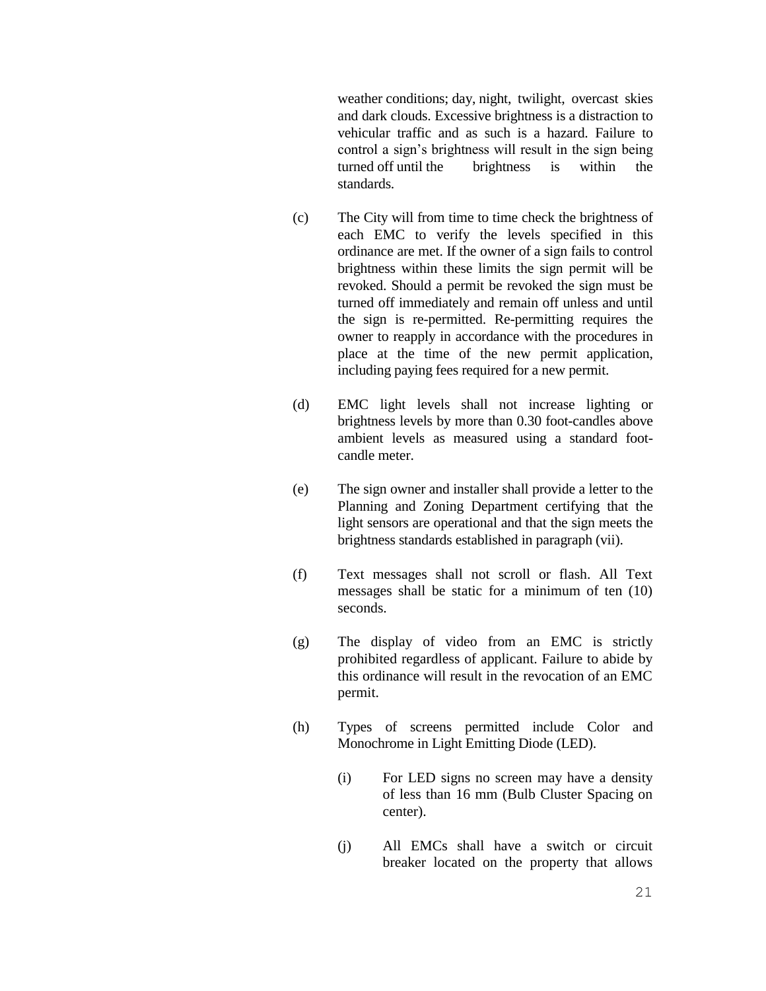weather conditions; day, night, twilight, overcast skies and dark clouds. Excessive brightness is a distraction to vehicular traffic and as such is a hazard. Failure to control a sign's brightness will result in the sign being turned off until the brightness is within the standards.

- (c) The City will from time to time check the brightness of each EMC to verify the levels specified in this ordinance are met. If the owner of a sign fails to control brightness within these limits the sign permit will be revoked. Should a permit be revoked the sign must be turned off immediately and remain off unless and until the sign is re-permitted. Re-permitting requires the owner to reapply in accordance with the procedures in place at the time of the new permit application, including paying fees required for a new permit.
- (d) EMC light levels shall not increase lighting or brightness levels by more than 0.30 foot-candles above ambient levels as measured using a standard footcandle meter.
- (e) The sign owner and installer shall provide a letter to the Planning and Zoning Department certifying that the light sensors are operational and that the sign meets the brightness standards established in paragraph (vii).
- (f) Text messages shall not scroll or flash. All Text messages shall be static for a minimum of ten (10) seconds.
- (g) The display of video from an EMC is strictly prohibited regardless of applicant. Failure to abide by this ordinance will result in the revocation of an EMC permit.
- (h) Types of screens permitted include Color and Monochrome in Light Emitting Diode (LED).
	- (i) For LED signs no screen may have a density of less than 16 mm (Bulb Cluster Spacing on center).
	- (j) All EMCs shall have a switch or circuit breaker located on the property that allows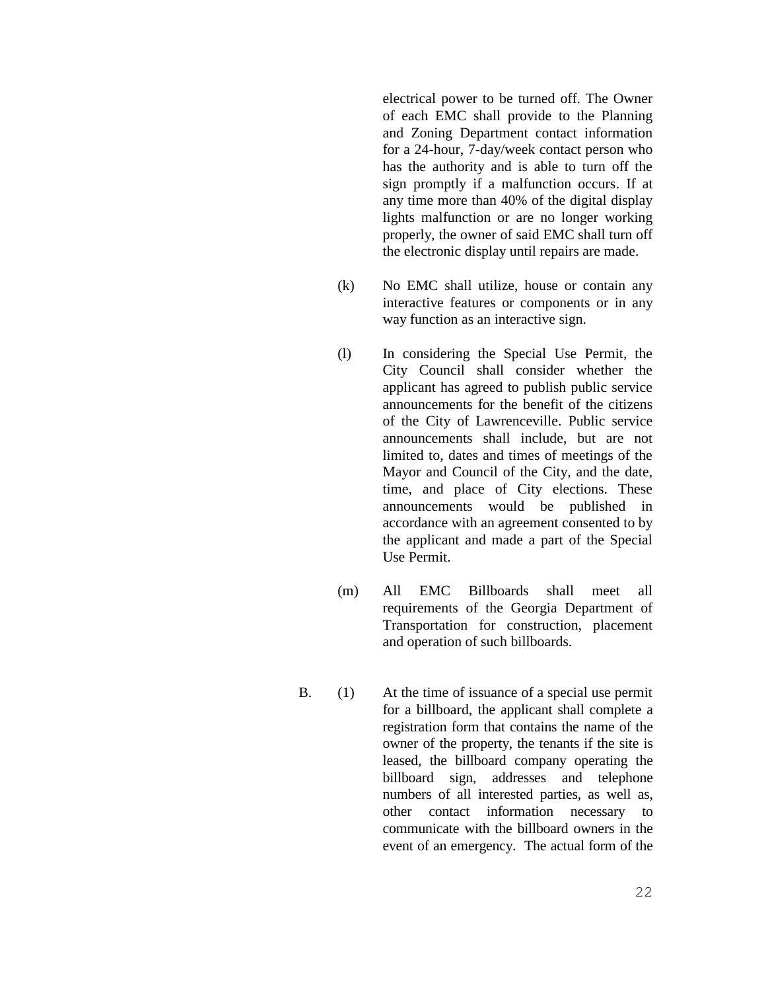electrical power to be turned off. The Owner of each EMC shall provide to the Planning and Zoning Department contact information for a 24-hour, 7-day/week contact person who has the authority and is able to turn off the sign promptly if a malfunction occurs. If at any time more than 40% of the digital display lights malfunction or are no longer working properly, the owner of said EMC shall turn off the electronic display until repairs are made.

- (k) No EMC shall utilize, house or contain any interactive features or components or in any way function as an interactive sign.
- (l) In considering the Special Use Permit, the City Council shall consider whether the applicant has agreed to publish public service announcements for the benefit of the citizens of the City of Lawrenceville. Public service announcements shall include, but are not limited to, dates and times of meetings of the Mayor and Council of the City, and the date, time, and place of City elections. These announcements would be published in accordance with an agreement consented to by the applicant and made a part of the Special Use Permit.
- (m) All EMC Billboards shall meet all requirements of the Georgia Department of Transportation for construction, placement and operation of such billboards.
- B. (1) At the time of issuance of a special use permit for a billboard, the applicant shall complete a registration form that contains the name of the owner of the property, the tenants if the site is leased, the billboard company operating the billboard sign, addresses and telephone numbers of all interested parties, as well as, other contact information necessary to communicate with the billboard owners in the event of an emergency. The actual form of the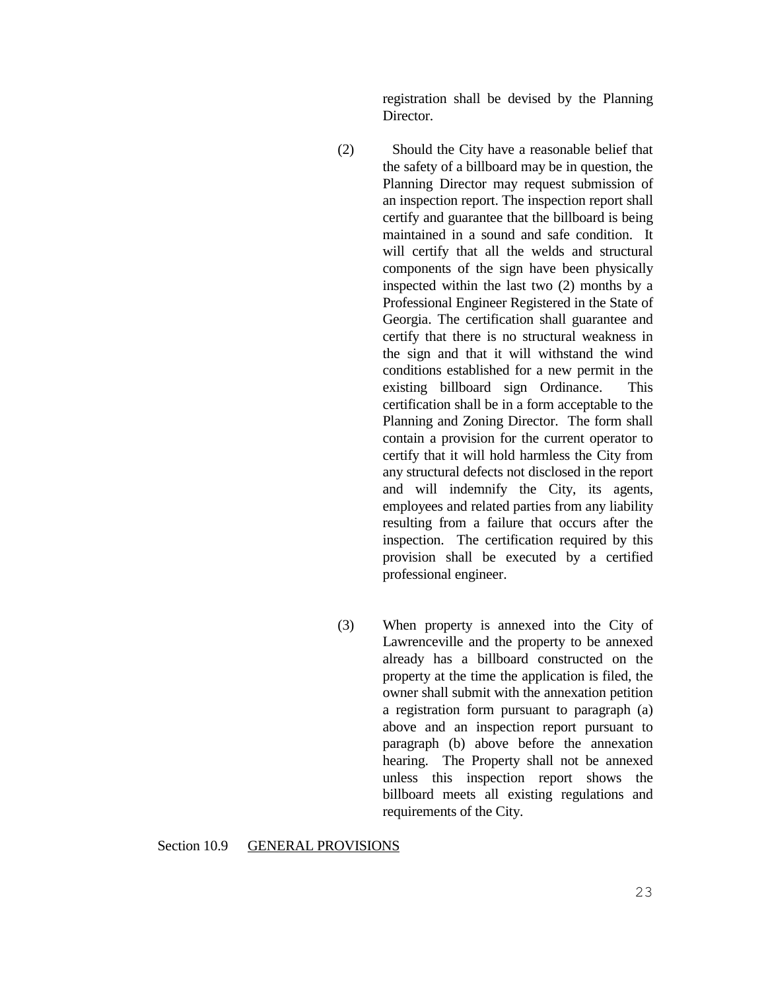registration shall be devised by the Planning Director.

- (2) Should the City have a reasonable belief that the safety of a billboard may be in question, the Planning Director may request submission of an inspection report. The inspection report shall certify and guarantee that the billboard is being maintained in a sound and safe condition. It will certify that all the welds and structural components of the sign have been physically inspected within the last two (2) months by a Professional Engineer Registered in the State of Georgia. The certification shall guarantee and certify that there is no structural weakness in the sign and that it will withstand the wind conditions established for a new permit in the existing billboard sign Ordinance. This certification shall be in a form acceptable to the Planning and Zoning Director. The form shall contain a provision for the current operator to certify that it will hold harmless the City from any structural defects not disclosed in the report and will indemnify the City, its agents, employees and related parties from any liability resulting from a failure that occurs after the inspection. The certification required by this provision shall be executed by a certified professional engineer.
- (3) When property is annexed into the City of Lawrenceville and the property to be annexed already has a billboard constructed on the property at the time the application is filed, the owner shall submit with the annexation petition a registration form pursuant to paragraph (a) above and an inspection report pursuant to paragraph (b) above before the annexation hearing. The Property shall not be annexed unless this inspection report shows the billboard meets all existing regulations and requirements of the City.

#### Section 10.9 GENERAL PROVISIONS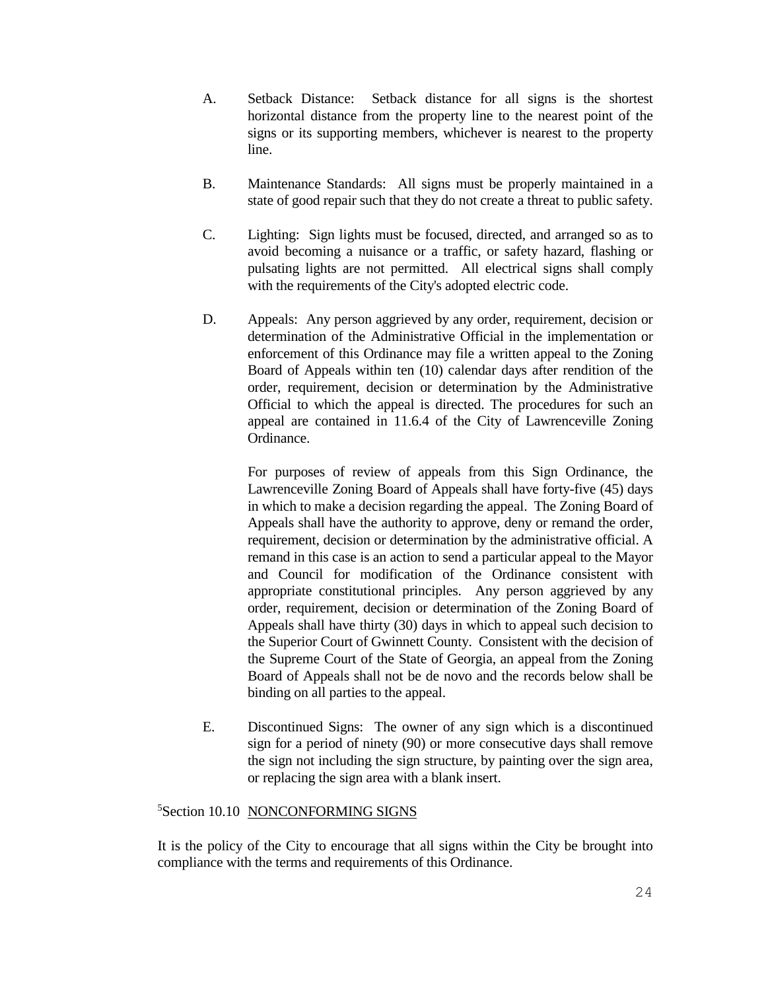- A. Setback Distance: Setback distance for all signs is the shortest horizontal distance from the property line to the nearest point of the signs or its supporting members, whichever is nearest to the property line.
- B. Maintenance Standards: All signs must be properly maintained in a state of good repair such that they do not create a threat to public safety.
- C. Lighting: Sign lights must be focused, directed, and arranged so as to avoid becoming a nuisance or a traffic, or safety hazard, flashing or pulsating lights are not permitted. All electrical signs shall comply with the requirements of the City's adopted electric code.
- D. Appeals: Any person aggrieved by any order, requirement, decision or determination of the Administrative Official in the implementation or enforcement of this Ordinance may file a written appeal to the Zoning Board of Appeals within ten (10) calendar days after rendition of the order, requirement, decision or determination by the Administrative Official to which the appeal is directed. The procedures for such an appeal are contained in 11.6.4 of the City of Lawrenceville Zoning Ordinance.

For purposes of review of appeals from this Sign Ordinance, the Lawrenceville Zoning Board of Appeals shall have forty-five (45) days in which to make a decision regarding the appeal. The Zoning Board of Appeals shall have the authority to approve, deny or remand the order, requirement*,* decision or determination by the administrative official. A remand in this case is an action to send a particular appeal to the Mayor and Council for modification of the Ordinance consistent with appropriate constitutional principles. Any person aggrieved by any order, requirement, decision or determination of the Zoning Board of Appeals shall have thirty (30) days in which to appeal such decision to the Superior Court of Gwinnett County. Consistent with the decision of the Supreme Court of the State of Georgia, an appeal from the Zoning Board of Appeals shall not be de novo and the records below shall be binding on all parties to the appeal.

E. Discontinued Signs: The owner of any sign which is a discontinued sign for a period of ninety (90) or more consecutive days shall remove the sign not including the sign structure, by painting over the sign area, or replacing the sign area with a blank insert.

## <sup>5</sup>Section 10.10 NONCONFORMING SIGNS

It is the policy of the City to encourage that all signs within the City be brought into compliance with the terms and requirements of this Ordinance.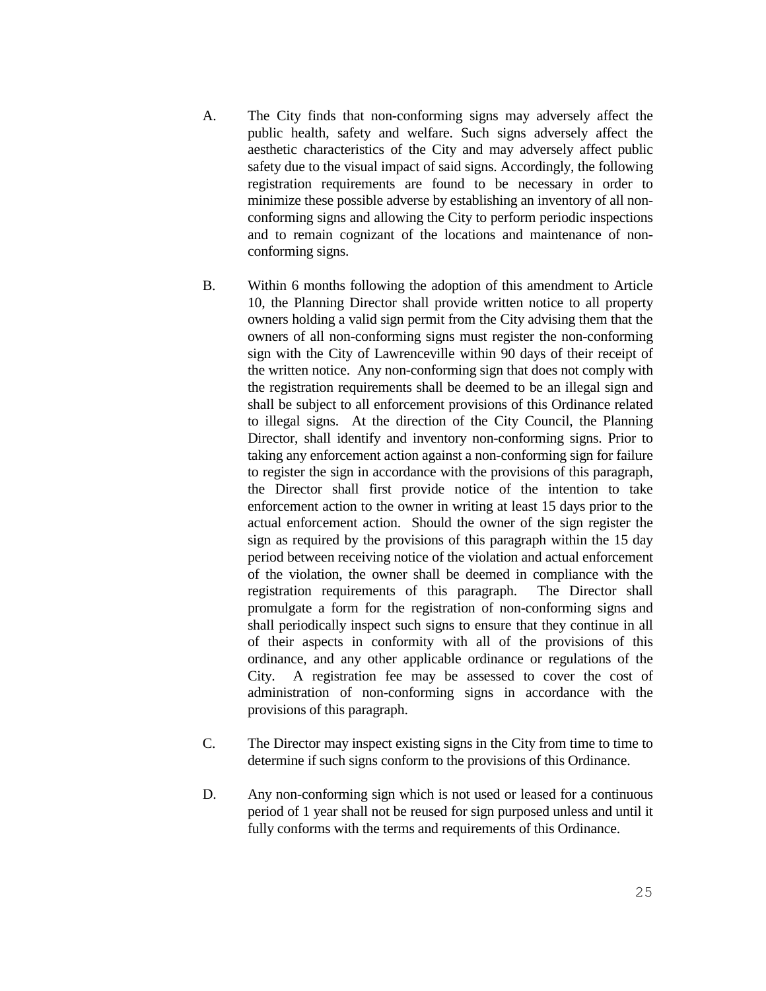- A. The City finds that non-conforming signs may adversely affect the public health, safety and welfare. Such signs adversely affect the aesthetic characteristics of the City and may adversely affect public safety due to the visual impact of said signs. Accordingly, the following registration requirements are found to be necessary in order to minimize these possible adverse by establishing an inventory of all nonconforming signs and allowing the City to perform periodic inspections and to remain cognizant of the locations and maintenance of nonconforming signs.
- B. Within 6 months following the adoption of this amendment to Article 10, the Planning Director shall provide written notice to all property owners holding a valid sign permit from the City advising them that the owners of all non-conforming signs must register the non-conforming sign with the City of Lawrenceville within 90 days of their receipt of the written notice. Any non-conforming sign that does not comply with the registration requirements shall be deemed to be an illegal sign and shall be subject to all enforcement provisions of this Ordinance related to illegal signs. At the direction of the City Council, the Planning Director, shall identify and inventory non-conforming signs. Prior to taking any enforcement action against a non-conforming sign for failure to register the sign in accordance with the provisions of this paragraph, the Director shall first provide notice of the intention to take enforcement action to the owner in writing at least 15 days prior to the actual enforcement action. Should the owner of the sign register the sign as required by the provisions of this paragraph within the 15 day period between receiving notice of the violation and actual enforcement of the violation, the owner shall be deemed in compliance with the registration requirements of this paragraph. The Director shall promulgate a form for the registration of non-conforming signs and shall periodically inspect such signs to ensure that they continue in all of their aspects in conformity with all of the provisions of this ordinance, and any other applicable ordinance or regulations of the City. A registration fee may be assessed to cover the cost of administration of non-conforming signs in accordance with the provisions of this paragraph.
- C. The Director may inspect existing signs in the City from time to time to determine if such signs conform to the provisions of this Ordinance.
- D. Any non-conforming sign which is not used or leased for a continuous period of 1 year shall not be reused for sign purposed unless and until it fully conforms with the terms and requirements of this Ordinance.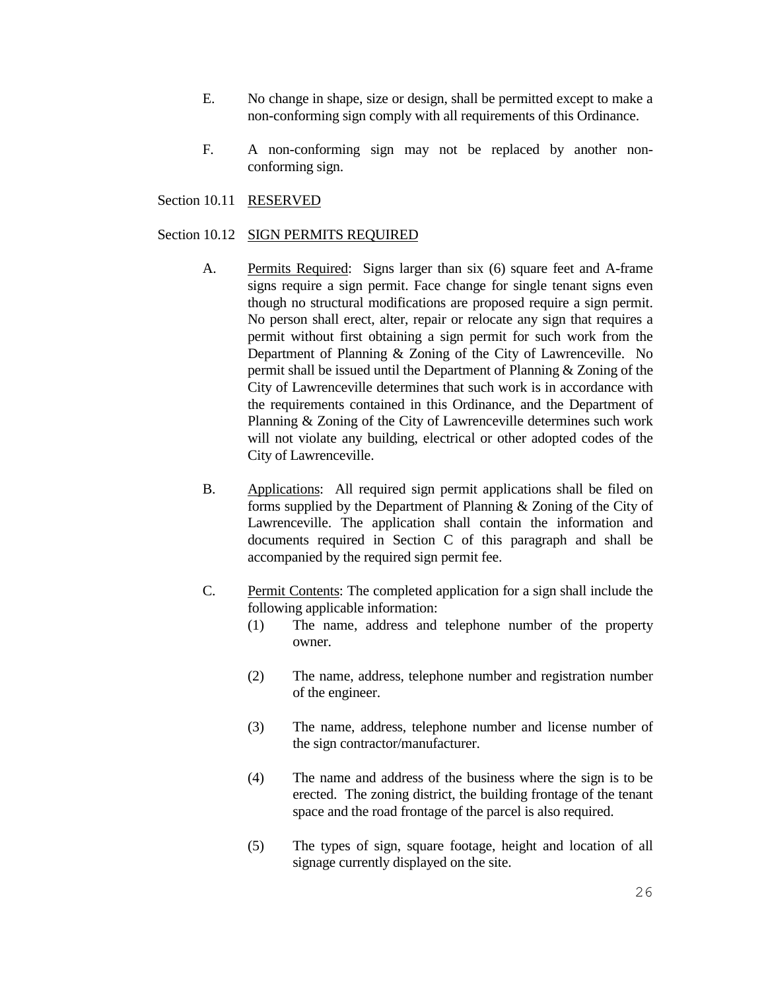- E. No change in shape, size or design, shall be permitted except to make a non-conforming sign comply with all requirements of this Ordinance.
- F. A non-conforming sign may not be replaced by another nonconforming sign.

# Section 10.11 RESERVED

#### Section 10.12 SIGN PERMITS REQUIRED

- A. Permits Required: Signs larger than six (6) square feet and A-frame signs require a sign permit. Face change for single tenant signs even though no structural modifications are proposed require a sign permit. No person shall erect, alter, repair or relocate any sign that requires a permit without first obtaining a sign permit for such work from the Department of Planning & Zoning of the City of Lawrenceville. No permit shall be issued until the Department of Planning & Zoning of the City of Lawrenceville determines that such work is in accordance with the requirements contained in this Ordinance, and the Department of Planning & Zoning of the City of Lawrenceville determines such work will not violate any building, electrical or other adopted codes of the City of Lawrenceville.
- B. Applications: All required sign permit applications shall be filed on forms supplied by the Department of Planning & Zoning of the City of Lawrenceville. The application shall contain the information and documents required in Section C of this paragraph and shall be accompanied by the required sign permit fee.
- C. Permit Contents: The completed application for a sign shall include the following applicable information:
	- (1) The name, address and telephone number of the property owner.
	- (2) The name, address, telephone number and registration number of the engineer.
	- (3) The name, address, telephone number and license number of the sign contractor/manufacturer.
	- (4) The name and address of the business where the sign is to be erected. The zoning district, the building frontage of the tenant space and the road frontage of the parcel is also required.
	- (5) The types of sign, square footage, height and location of all signage currently displayed on the site.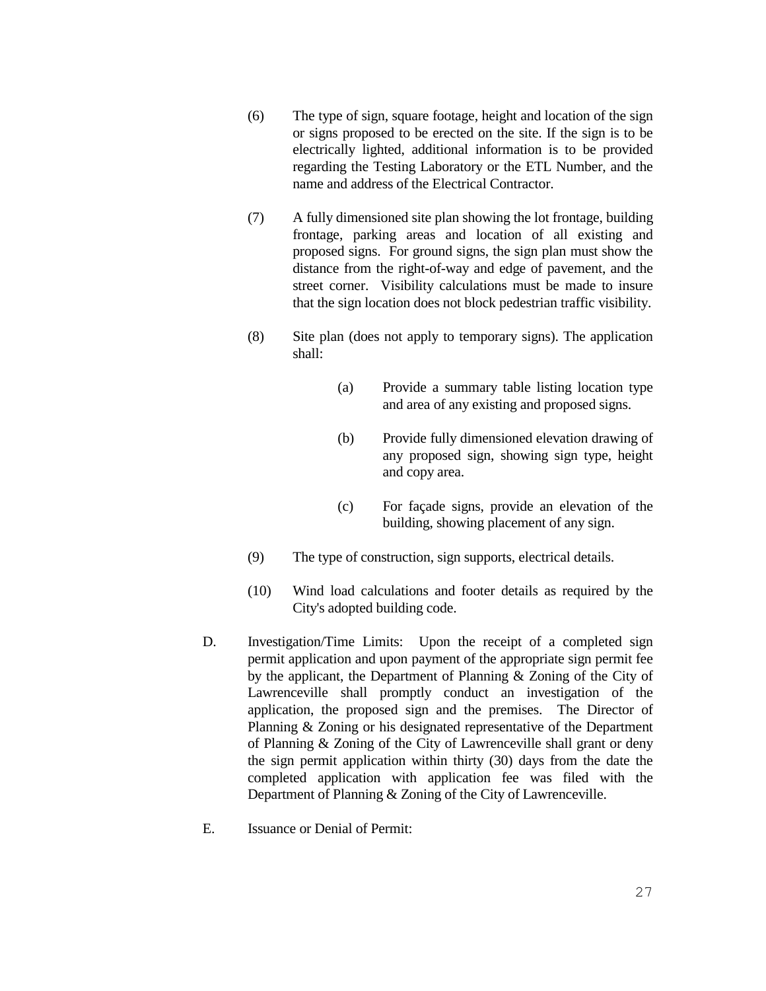- (6) The type of sign, square footage, height and location of the sign or signs proposed to be erected on the site. If the sign is to be electrically lighted, additional information is to be provided regarding the Testing Laboratory or the ETL Number, and the name and address of the Electrical Contractor.
- (7) A fully dimensioned site plan showing the lot frontage, building frontage, parking areas and location of all existing and proposed signs. For ground signs, the sign plan must show the distance from the right-of-way and edge of pavement, and the street corner. Visibility calculations must be made to insure that the sign location does not block pedestrian traffic visibility.
- (8) Site plan (does not apply to temporary signs). The application shall:
	- (a) Provide a summary table listing location type and area of any existing and proposed signs.
	- (b) Provide fully dimensioned elevation drawing of any proposed sign, showing sign type, height and copy area.
	- (c) For façade signs, provide an elevation of the building, showing placement of any sign.
- (9) The type of construction, sign supports, electrical details.
- (10) Wind load calculations and footer details as required by the City's adopted building code.
- D. Investigation/Time Limits: Upon the receipt of a completed sign permit application and upon payment of the appropriate sign permit fee by the applicant, the Department of Planning & Zoning of the City of Lawrenceville shall promptly conduct an investigation of the application, the proposed sign and the premises. The Director of Planning & Zoning or his designated representative of the Department of Planning & Zoning of the City of Lawrenceville shall grant or deny the sign permit application within thirty (30) days from the date the completed application with application fee was filed with the Department of Planning & Zoning of the City of Lawrenceville.
- E. Issuance or Denial of Permit: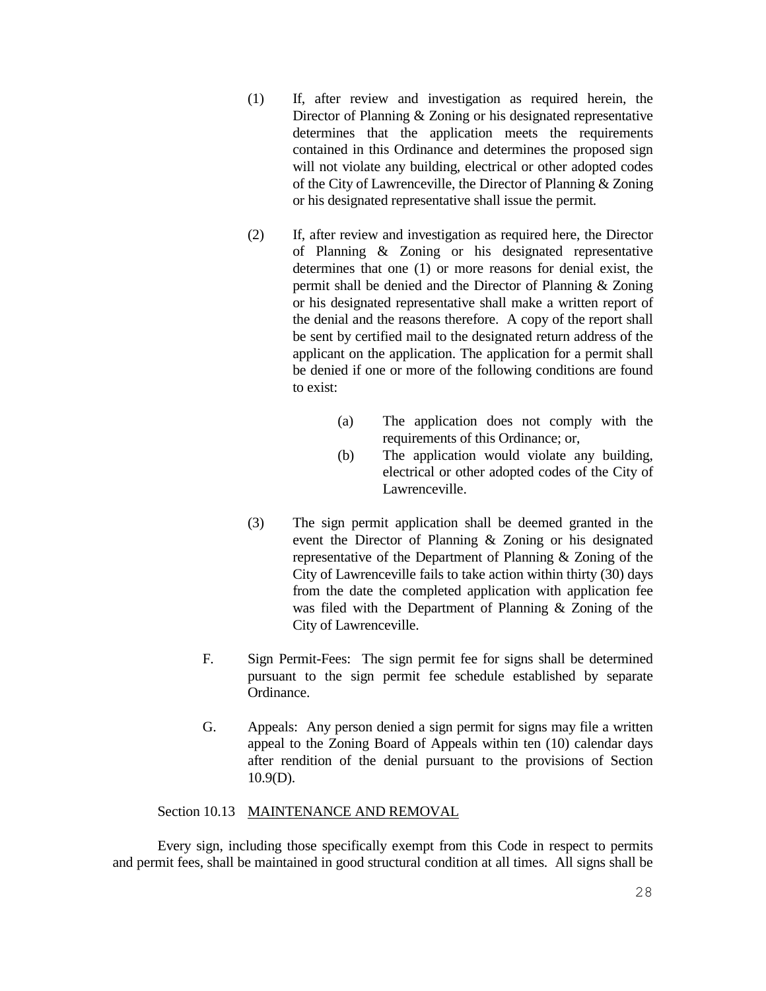- (1) If, after review and investigation as required herein, the Director of Planning & Zoning or his designated representative determines that the application meets the requirements contained in this Ordinance and determines the proposed sign will not violate any building, electrical or other adopted codes of the City of Lawrenceville, the Director of Planning & Zoning or his designated representative shall issue the permit.
- (2) If, after review and investigation as required here, the Director of Planning & Zoning or his designated representative determines that one (1) or more reasons for denial exist, the permit shall be denied and the Director of Planning & Zoning or his designated representative shall make a written report of the denial and the reasons therefore. A copy of the report shall be sent by certified mail to the designated return address of the applicant on the application. The application for a permit shall be denied if one or more of the following conditions are found to exist:
	- (a) The application does not comply with the requirements of this Ordinance; or,
	- (b) The application would violate any building, electrical or other adopted codes of the City of Lawrenceville.
- (3) The sign permit application shall be deemed granted in the event the Director of Planning & Zoning or his designated representative of the Department of Planning & Zoning of the City of Lawrenceville fails to take action within thirty (30) days from the date the completed application with application fee was filed with the Department of Planning & Zoning of the City of Lawrenceville.
- F. Sign Permit-Fees: The sign permit fee for signs shall be determined pursuant to the sign permit fee schedule established by separate Ordinance.
- G. Appeals: Any person denied a sign permit for signs may file a written appeal to the Zoning Board of Appeals within ten (10) calendar days after rendition of the denial pursuant to the provisions of Section 10.9(D).

## Section 10.13 MAINTENANCE AND REMOVAL

Every sign, including those specifically exempt from this Code in respect to permits and permit fees, shall be maintained in good structural condition at all times. All signs shall be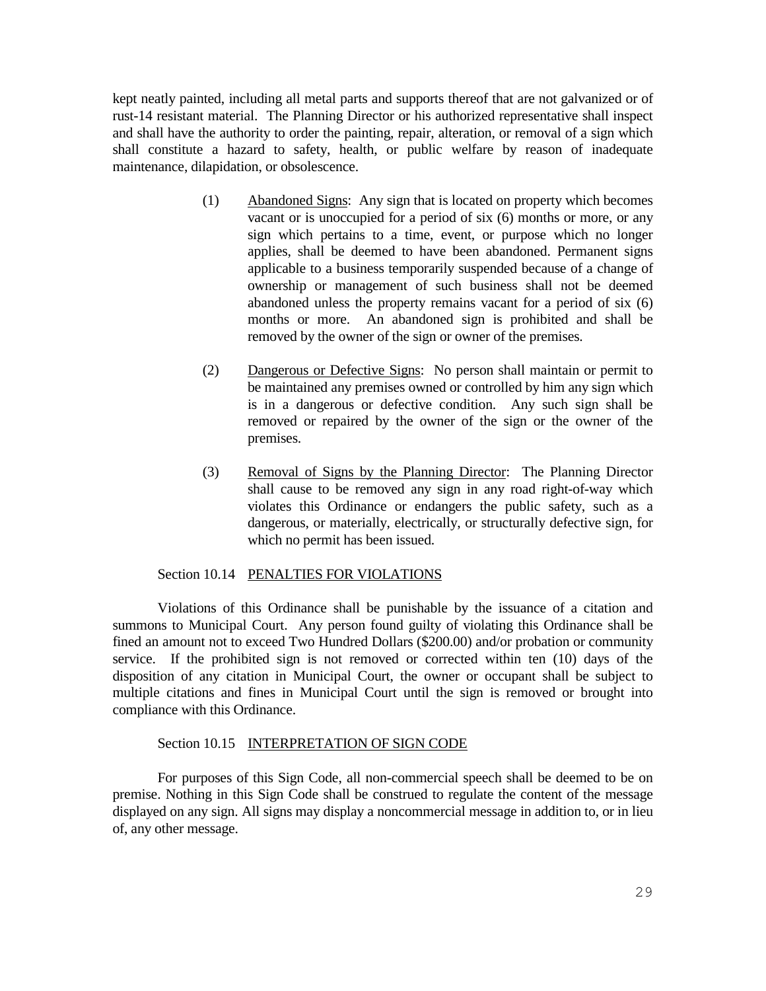kept neatly painted, including all metal parts and supports thereof that are not galvanized or of rust-14 resistant material. The Planning Director or his authorized representative shall inspect and shall have the authority to order the painting, repair, alteration, or removal of a sign which shall constitute a hazard to safety, health, or public welfare by reason of inadequate maintenance, dilapidation, or obsolescence.

- (1) Abandoned Signs: Any sign that is located on property which becomes vacant or is unoccupied for a period of six (6) months or more, or any sign which pertains to a time, event, or purpose which no longer applies, shall be deemed to have been abandoned. Permanent signs applicable to a business temporarily suspended because of a change of ownership or management of such business shall not be deemed abandoned unless the property remains vacant for a period of six (6) months or more. An abandoned sign is prohibited and shall be removed by the owner of the sign or owner of the premises.
- (2) Dangerous or Defective Signs: No person shall maintain or permit to be maintained any premises owned or controlled by him any sign which is in a dangerous or defective condition. Any such sign shall be removed or repaired by the owner of the sign or the owner of the premises.
- (3) Removal of Signs by the Planning Director: The Planning Director shall cause to be removed any sign in any road right-of-way which violates this Ordinance or endangers the public safety, such as a dangerous, or materially, electrically, or structurally defective sign, for which no permit has been issued.

#### Section 10.14 PENALTIES FOR VIOLATIONS

Violations of this Ordinance shall be punishable by the issuance of a citation and summons to Municipal Court. Any person found guilty of violating this Ordinance shall be fined an amount not to exceed Two Hundred Dollars (\$200.00) and/or probation or community service. If the prohibited sign is not removed or corrected within ten (10) days of the disposition of any citation in Municipal Court, the owner or occupant shall be subject to multiple citations and fines in Municipal Court until the sign is removed or brought into compliance with this Ordinance.

#### Section 10.15 INTERPRETATION OF SIGN CODE

For purposes of this Sign Code, all non-commercial speech shall be deemed to be on premise. Nothing in this Sign Code shall be construed to regulate the content of the message displayed on any sign. All signs may display a noncommercial message in addition to, or in lieu of, any other message.